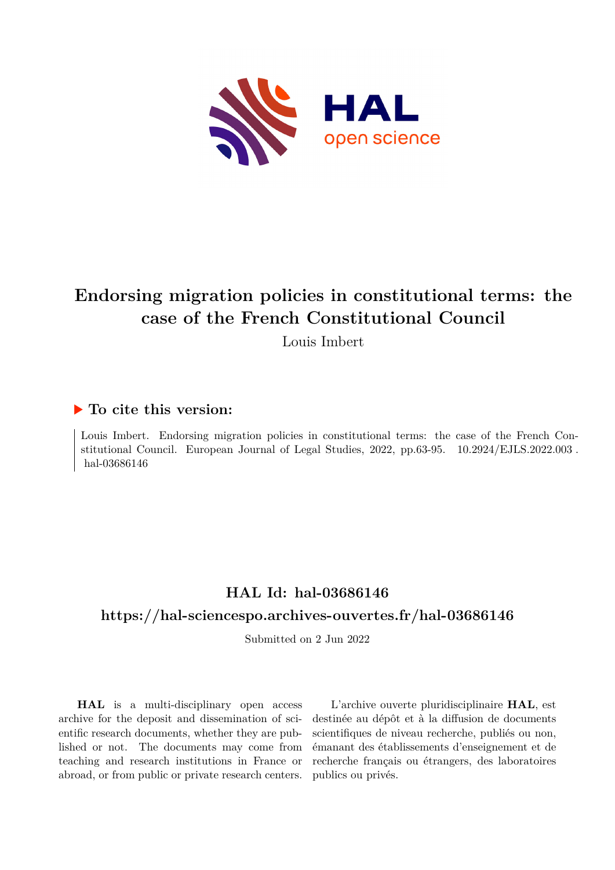

# **Endorsing migration policies in constitutional terms: the case of the French Constitutional Council**

Louis Imbert

# **To cite this version:**

Louis Imbert. Endorsing migration policies in constitutional terms: the case of the French Constitutional Council. European Journal of Legal Studies,  $2022$ , pp.63-95.  $10.2924/ELIS.2022.003$ . hal-03686146

# **HAL Id: hal-03686146**

## **<https://hal-sciencespo.archives-ouvertes.fr/hal-03686146>**

Submitted on 2 Jun 2022

**HAL** is a multi-disciplinary open access archive for the deposit and dissemination of scientific research documents, whether they are published or not. The documents may come from teaching and research institutions in France or abroad, or from public or private research centers.

L'archive ouverte pluridisciplinaire **HAL**, est destinée au dépôt et à la diffusion de documents scientifiques de niveau recherche, publiés ou non, émanant des établissements d'enseignement et de recherche français ou étrangers, des laboratoires publics ou privés.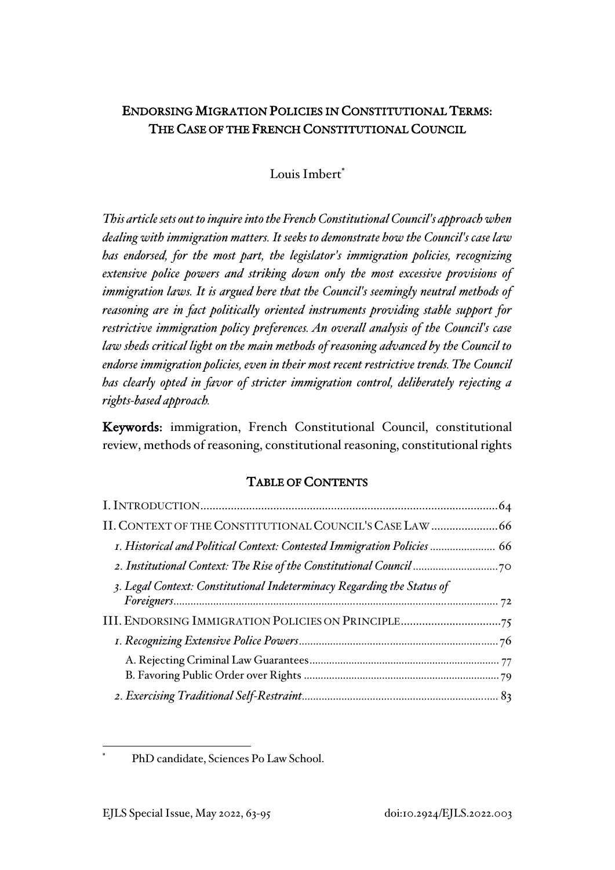# ENDORSING MIGRATION POLICIES IN CONSTITUTIONAL TERMS: THE CASE OF THE FRENCH CONSTITUTIONAL COUNCIL

Louis Imbert<sup>\*</sup>

*This article sets out to inquire into the French Constitutional Council's approach when dealing with immigration matters. It seeks to demonstrate how the Council's case law has endorsed, for the most part, the legislator's immigration policies, recognizing extensive police powers and striking down only the most excessive provisions of immigration laws. It is argued here that the Council's seemingly neutral methods of reasoning are in fact politically oriented instruments providing stable support for restrictive immigration policy preferences. An overall analysis of the Council's case law sheds critical light on the main methods of reasoning advanced by the Council to endorse immigration policies, even in their most recent restrictive trends. The Council has clearly opted in favor of stricter immigration control, deliberately rejecting a rights-based approach.*

Keywords: immigration, French Constitutional Council, constitutional review, methods of reasoning, constitutional reasoning, constitutional rights

### TABLE OF CONTENTS

| I. Historical and Political Context: Contested Immigration Policies  66 |  |
|-------------------------------------------------------------------------|--|
|                                                                         |  |
| 3. Legal Context: Constitutional Indeterminacy Regarding the Status of  |  |
|                                                                         |  |
|                                                                         |  |
|                                                                         |  |
|                                                                         |  |
|                                                                         |  |
|                                                                         |  |

PhD candidate, Sciences Po Law School.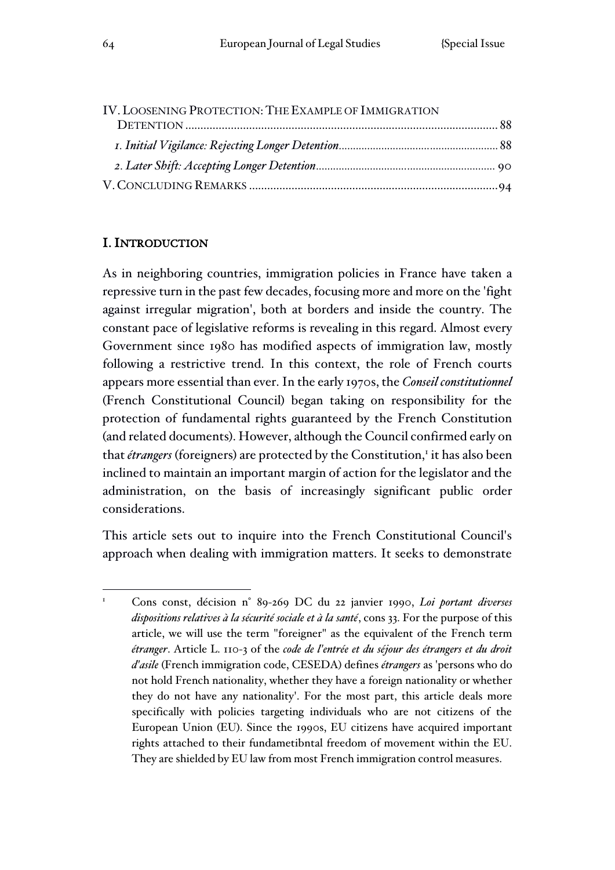| IV. LOOSENING PROTECTION: THE EXAMPLE OF IMMIGRATION |  |
|------------------------------------------------------|--|
|                                                      |  |
|                                                      |  |
|                                                      |  |
|                                                      |  |

#### I. INTRODUCTION

As in neighboring countries, immigration policies in France have taken a repressive turn in the past few decades, focusing more and more on the 'fight against irregular migration', both at borders and inside the country. The constant pace of legislative reforms is revealing in this regard. Almost every Government since 1980 has modified aspects of immigration law, mostly following a restrictive trend. In this context, the role of French courts appears more essential than ever. In the early 1970s, the *Conseil constitutionnel* (French Constitutional Council) began taking on responsibility for the protection of fundamental rights guaranteed by the French Constitution (and related documents). However, although the Council confirmed early on that étrangers (foreigners) are protected by the Constitution,<sup>1</sup> it has also been inclined to maintain an important margin of action for the legislator and the administration, on the basis of increasingly significant public order considerations.

This article sets out to inquire into the French Constitutional Council's approach when dealing with immigration matters. It seeks to demonstrate

<sup>1</sup> Cons const, décision n° 89-269 DC du 22 janvier 1990, *Loi portant diverses dispositions relatives à la sécurité sociale et à la santé*, cons 33. For the purpose of this article, we will use the term "foreigner" as the equivalent of the French term *étranger*. Article L. 110-3 of the *code de l'entrée et du séjour des étrangers et du droit d'asile* (French immigration code, CESEDA) defines *étrangers* as 'persons who do not hold French nationality, whether they have a foreign nationality or whether they do not have any nationality'. For the most part, this article deals more specifically with policies targeting individuals who are not citizens of the European Union (EU). Since the 1990s, EU citizens have acquired important rights attached to their fundametibntal freedom of movement within the EU. They are shielded by EU law from most French immigration control measures.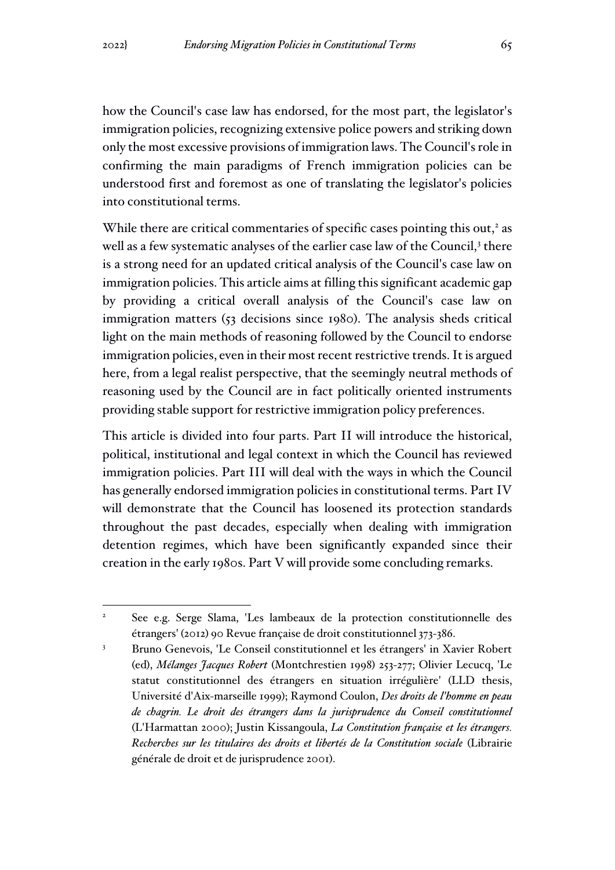how the Council's case law has endorsed, for the most part, the legislator's immigration policies, recognizing extensive police powers and striking down only the most excessive provisions of immigration laws. The Council's role in confirming the main paradigms of French immigration policies can be understood first and foremost as one of translating the legislator's policies into constitutional terms.

While there are critical commentaries of specific cases pointing this out,<sup>2</sup> as well as a few systematic analyses of the earlier case law of the Council,<sup>3</sup> there is a strong need for an updated critical analysis of the Council's case law on immigration policies. This article aims at filling this significant academic gap by providing a critical overall analysis of the Council's case law on immigration matters (53 decisions since 1980). The analysis sheds critical light on the main methods of reasoning followed by the Council to endorse immigration policies, even in their most recent restrictive trends. It is argued here, from a legal realist perspective, that the seemingly neutral methods of reasoning used by the Council are in fact politically oriented instruments providing stable support for restrictive immigration policy preferences.

This article is divided into four parts. Part II will introduce the historical, political, institutional and legal context in which the Council has reviewed immigration policies. Part III will deal with the ways in which the Council has generally endorsed immigration policies in constitutional terms. Part IV will demonstrate that the Council has loosened its protection standards throughout the past decades, especially when dealing with immigration detention regimes, which have been significantly expanded since their creation in the early 1980s. Part V will provide some concluding remarks.

<sup>2</sup> See e.g. Serge Slama, 'Les lambeaux de la protection constitutionnelle des étrangers' (2012) 90 Revue française de droit constitutionnel 373-386.

<sup>3</sup> Bruno Genevois, 'Le Conseil constitutionnel et les étrangers' in Xavier Robert (ed), *Mélanges Jacques Robert* (Montchrestien 1998) 253-277; Olivier Lecucq, 'Le statut constitutionnel des étrangers en situation irrégulière' (LLD thesis, Université d'Aix-marseille 1999); Raymond Coulon, *Des droits de l'homme en peau de chagrin. Le droit des étrangers dans la jurisprudence du Conseil constitutionnel* (L'Harmattan 2000); Justin Kissangoula, *La Constitution française et les étrangers. Recherches sur les titulaires des droits et libertés de la Constitution sociale* (Librairie générale de droit et de jurisprudence 2001).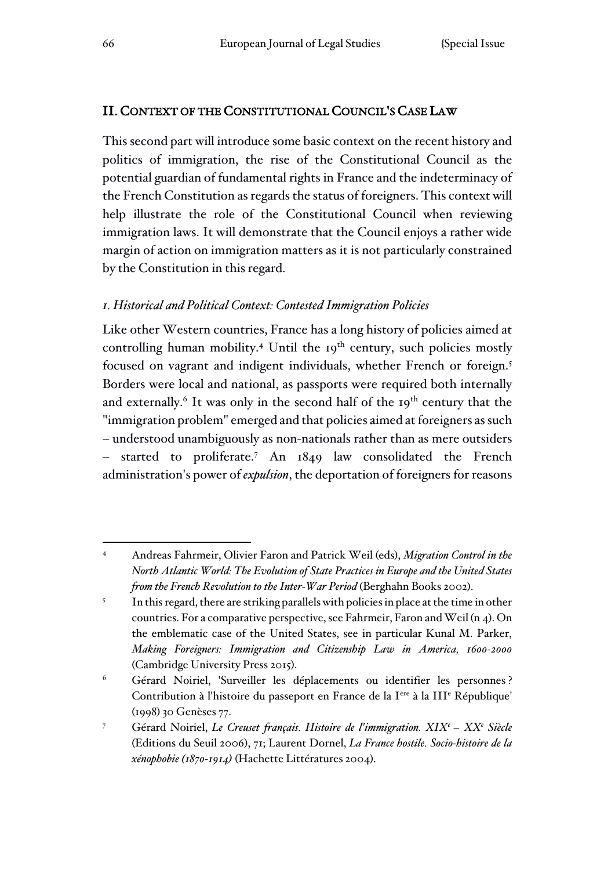### II. CONTEXT OF THE CONSTITUTIONAL COUNCIL'S CASE LAW

This second part will introduce some basic context on the recent history and politics of immigration, the rise of the Constitutional Council as the potential guardian of fundamental rights in France and the indeterminacy of the French Constitution as regards the status of foreigners. This context will help illustrate the role of the Constitutional Council when reviewing immigration laws. It will demonstrate that the Council enjoys a rather wide margin of action on immigration matters as it is not particularly constrained by the Constitution in this regard.

# *1. Historical and Political Context: Contested Immigration Policies*

Like other Western countries, France has a long history of policies aimed at controlling human mobility.<sup>4</sup> Until the  $19<sup>th</sup>$  century, such policies mostly focused on vagrant and indigent individuals, whether French or foreign.<sup>5</sup> Borders were local and national, as passports were required both internally and externally.<sup>6</sup> It was only in the second half of the 19<sup>th</sup> century that the "immigration problem" emerged and that policies aimed at foreigners as such – understood unambiguously as non-nationals rather than as mere outsiders – started to proliferate.<sup>7</sup> An 1849 law consolidated the French administration's power of *expulsion*, the deportation of foreigners for reasons

<sup>4</sup> Andreas Fahrmeir, Olivier Faron and Patrick Weil (eds), *Migration Control in the North Atlantic World: The Evolution of State Practices in Europe and the United States from the French Revolution to the Inter-War Period* (Berghahn Books 2002).

<sup>5</sup> In this regard, there are striking parallels with policies in place at the time in other countries. For a comparative perspective, see Fahrmeir, Faron and Weil (n 4). On the emblematic case of the United States, see in particular Kunal M. Parker, *Making Foreigners: Immigration and Citizenship Law in America, 1600-2000* (Cambridge University Press 2015).

<sup>6</sup> Gérard Noiriel, 'Surveiller les déplacements ou identifier les personnes ? Contribution à l'histoire du passeport en France de la I<sup>ère</sup> à la III<sup>e</sup> République' (1998) 30 Genèses 77.

<sup>7</sup> Gérard Noiriel, *Le Creuset français. Histoire de l'immigration. XIX<sup>e</sup>– XX<sup>e</sup> Siècle* (Editions du Seuil 2006), 71; Laurent Dornel, *La France hostile. Socio-histoire de la xénophobie (1870-1914)* (Hachette Littératures 2004).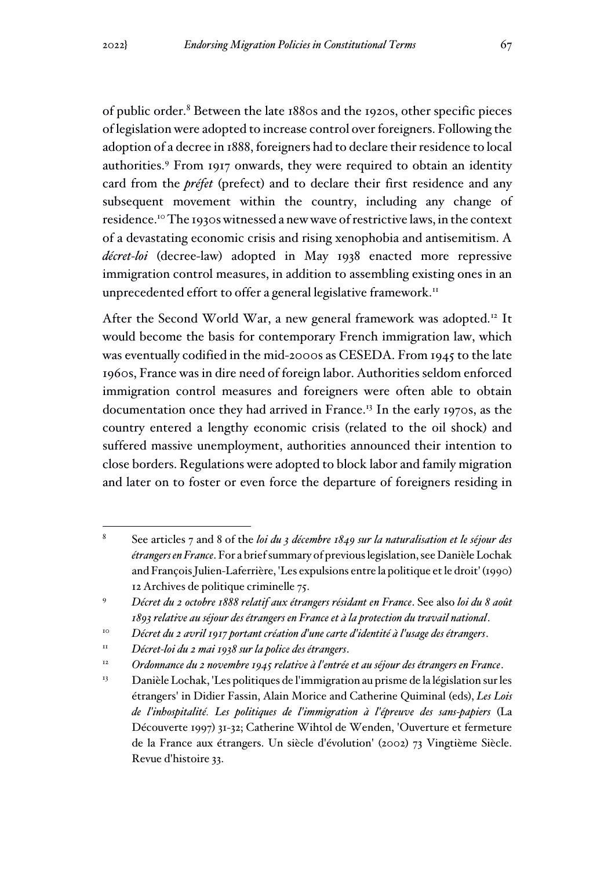of public order.<sup>8</sup> Between the late 1880s and the 1920s, other specific pieces of legislation were adopted to increase control over foreigners. Following the adoption of a decree in 1888, foreigners had to declare their residence to local authorities.<sup>9</sup> From 1917 onwards, they were required to obtain an identity card from the *préfet* (prefect) and to declare their first residence and any subsequent movement within the country, including any change of residence.<sup>10</sup> The 1930s witnessed a new wave of restrictive laws, in the context of a devastating economic crisis and rising xenophobia and antisemitism. A *décret-loi* (decree-law) adopted in May 1938 enacted more repressive immigration control measures, in addition to assembling existing ones in an unprecedented effort to offer a general legislative framework.<sup>11</sup>

After the Second World War, a new general framework was adopted.<sup>12</sup> It would become the basis for contemporary French immigration law, which was eventually codified in the mid-2000s as CESEDA. From 1945 to the late 1960s, France was in dire need of foreign labor. Authorities seldom enforced immigration control measures and foreigners were often able to obtain documentation once they had arrived in France.<sup>13</sup> In the early 1970s, as the country entered a lengthy economic crisis (related to the oil shock) and suffered massive unemployment, authorities announced their intention to close borders. Regulations were adopted to block labor and family migration and later on to foster or even force the departure of foreigners residing in

<sup>8</sup> See articles 7 and 8 of the *loi du 3 décembre 1849 sur la naturalisation et le séjour des étrangers en France*. For a brief summary of previous legislation, see Danièle Lochak and François Julien-Laferrière, 'Les expulsions entre la politique et le droit' (1990) 12 Archives de politique criminelle 75.

<sup>9</sup> *Décret du 2 octobre 1888 relatif aux étrangers résidant en France*. See also *loi du 8 août 1893 relative au séjour des étrangers en France et à la protection du travail national*.

<sup>10</sup> *Décret du 2 avril 1917 portant création d'une carte d'identité à l'usage des étrangers*.

<sup>11</sup> *Décret-loi du 2 mai 1938 sur la police des étrangers*.

<sup>12</sup> *Ordonnance du 2 novembre 1945 relative à l'entrée et au séjour des étrangers en France*.

<sup>&</sup>lt;sup>13</sup> Danièle Lochak, 'Les politiques de l'immigration au prisme de la législation sur les étrangers' in Didier Fassin, Alain Morice and Catherine Quiminal (eds), *Les Lois de l'inhospitalité. Les politiques de l'immigration à l'épreuve des sans-papiers* (La Découverte 1997) 31-32; Catherine Wihtol de Wenden, 'Ouverture et fermeture de la France aux étrangers. Un siècle d'évolution' (2002) 73 Vingtième Siècle. Revue d'histoire 33.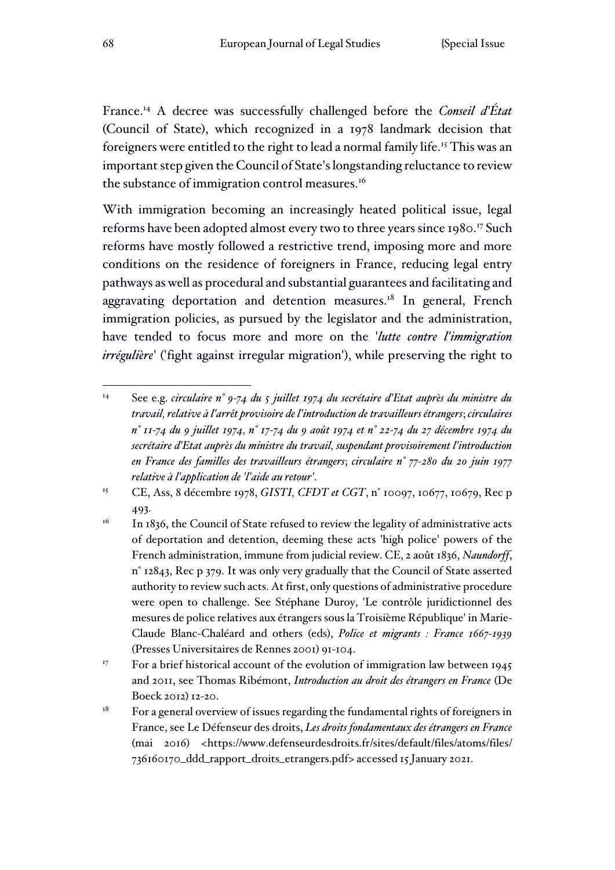France.<sup>14</sup> A decree was successfully challenged before the *Conseil d'État* (Council of State), which recognized in a 1978 landmark decision that foreigners were entitled to the right to lead a normal family life.<sup>15</sup> This was an important step given the Council of State's longstanding reluctance to review the substance of immigration control measures.<sup>16</sup>

With immigration becoming an increasingly heated political issue, legal reforms have been adopted almost every two to three years since 1980.<sup>17</sup> Such reforms have mostly followed a restrictive trend, imposing more and more conditions on the residence of foreigners in France, reducing legal entry pathways as well as procedural and substantial guarantees and facilitating and aggravating deportation and detention measures.<sup>18</sup> In general, French immigration policies, as pursued by the legislator and the administration, have tended to focus more and more on the '*lutte contre l'immigration irrégulière*' ('fight against irregular migration'), while preserving the right to

<sup>15</sup> CE, Ass, 8 décembre 1978, *GISTI, CFDT et CGT*, n° 10097, 10677, 10679, Rec p 493.

<sup>14</sup> See e.g. *circulaire n° 9-74 du 5 juillet 1974 du secrétaire d'Etat auprès du ministre du travail, relative à l'arrêt provisoire de l'introduction de travailleurs étrangers*; *circulaires n° 11-74 du 9 juillet 1974, n° 17-74 du 9 août 1974 et n° 22-74 du 27 décembre 1974 du secrétaire d'Etat auprès du ministre du travail, suspendant provisoirement l'introduction en France des familles des travailleurs étrangers*; *circulaire n° 77-280 du 20 juin 1977 relative à l'application de 'l'aide au retour'*.

 $16$  In 1836, the Council of State refused to review the legality of administrative acts of deportation and detention, deeming these acts 'high police' powers of the French administration, immune from judicial review. CE, 2 août 1836, *Naundorff*, n° 12843, Rec p 379. It was only very gradually that the Council of State asserted authority to review such acts. At first, only questions of administrative procedure were open to challenge. See Stéphane Duroy, 'Le contrôle juridictionnel des mesures de police relatives aux étrangers sous la Troisième République' in Marie-Claude Blanc-Chaléard and others (eds), *Police et migrants : France 1667-1939* (Presses Universitaires de Rennes 2001) 91-104.

<sup>&</sup>lt;sup>17</sup> For a brief historical account of the evolution of immigration law between 1945 and 2011, see Thomas Ribémont, *Introduction au droit des étrangers en France* (De Boeck 2012) 12-20.

 $18$  For a general overview of issues regarding the fundamental rights of foreigners in France, see Le Défenseur des droits, *Les droits fondamentaux des étrangers en France* (mai 2016) <https://www.defenseurdesdroits.fr/sites/default/files/atoms/files/ 736160170\_ddd\_rapport\_droits\_etrangers.pdf> accessed 15 January 2021.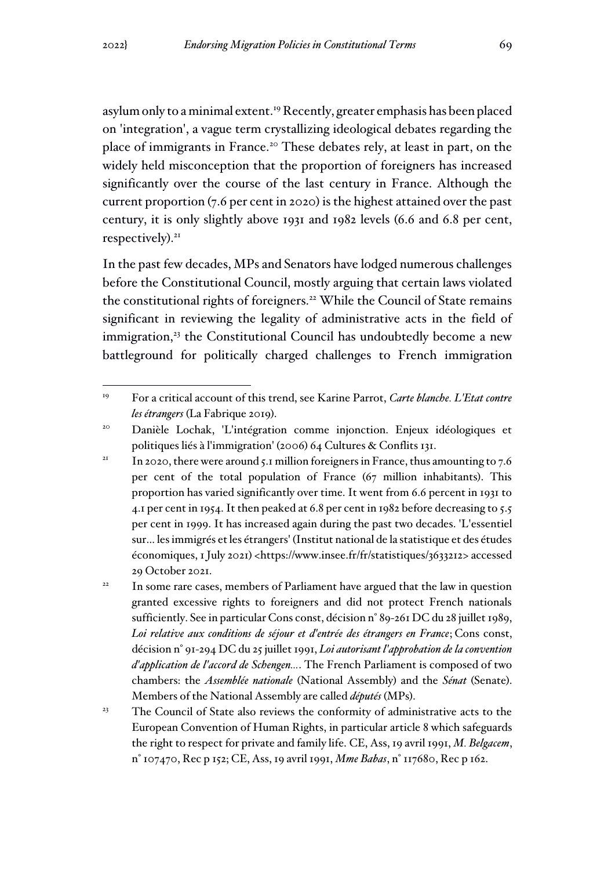asylum only to a minimal extent.<sup>19</sup> Recently, greater emphasis has been placed on 'integration', a vague term crystallizing ideological debates regarding the place of immigrants in France.<sup>20</sup> These debates rely, at least in part, on the widely held misconception that the proportion of foreigners has increased significantly over the course of the last century in France. Although the current proportion (7.6 per cent in 2020) is the highest attained over the past century, it is only slightly above 1931 and 1982 levels (6.6 and 6.8 per cent, respectively).<sup>21</sup>

In the past few decades, MPs and Senators have lodged numerous challenges before the Constitutional Council, mostly arguing that certain laws violated the constitutional rights of foreigners.<sup>22</sup> While the Council of State remains significant in reviewing the legality of administrative acts in the field of immigration,<sup>23</sup> the Constitutional Council has undoubtedly become a new battleground for politically charged challenges to French immigration

<sup>19</sup> For a critical account of this trend, see Karine Parrot, *Carte blanche. L'Etat contre les étrangers* (La Fabrique 2019).

<sup>20</sup> Danièle Lochak, 'L'intégration comme injonction. Enjeux idéologiques et politiques liés à l'immigration' (2006) 64 Cultures & Conflits 131.

<sup>&</sup>lt;sup>21</sup> In 2020, there were around 5.1 million foreigners in France, thus amounting to 7.6 per cent of the total population of France (67 million inhabitants). This proportion has varied significantly over time. It went from 6.6 percent in 1931 to 4.1 per cent in 1954. It then peaked at 6.8 per cent in 1982 before decreasing to 5.5 per cent in 1999. It has increased again during the past two decades. 'L'essentiel sur… les immigrés et les étrangers' (Institut national de la statistique et des études économiques, 1 July 2021) <https://www.insee.fr/fr/statistiques/3633212> accessed 29 October 2021.

<sup>&</sup>lt;sup>22</sup> In some rare cases, members of Parliament have argued that the law in question granted excessive rights to foreigners and did not protect French nationals sufficiently. See in particular Cons const, décision n° 89-261 DC du 28 juillet 1989, *Loi relative aux conditions de séjour et d'entrée des étrangers en France*; Cons const, décision n° 91-294 DC du 25 juillet 1991, *Loi autorisant l'approbation de la convention d'application de l'accord de Schengen…*. The French Parliament is composed of two chambers: the *Assemblée nationale* (National Assembly) and the *Sénat* (Senate). Members of the National Assembly are called *députés* (MPs).

<sup>&</sup>lt;sup>23</sup> The Council of State also reviews the conformity of administrative acts to the European Convention of Human Rights, in particular article 8 which safeguards the right to respect for private and family life. CE, Ass, 19 avril 1991, *M. Belgacem*, n° 107470, Rec p 152; CE, Ass, 19 avril 1991, *Mme Babas*, n° 117680, Rec p 162.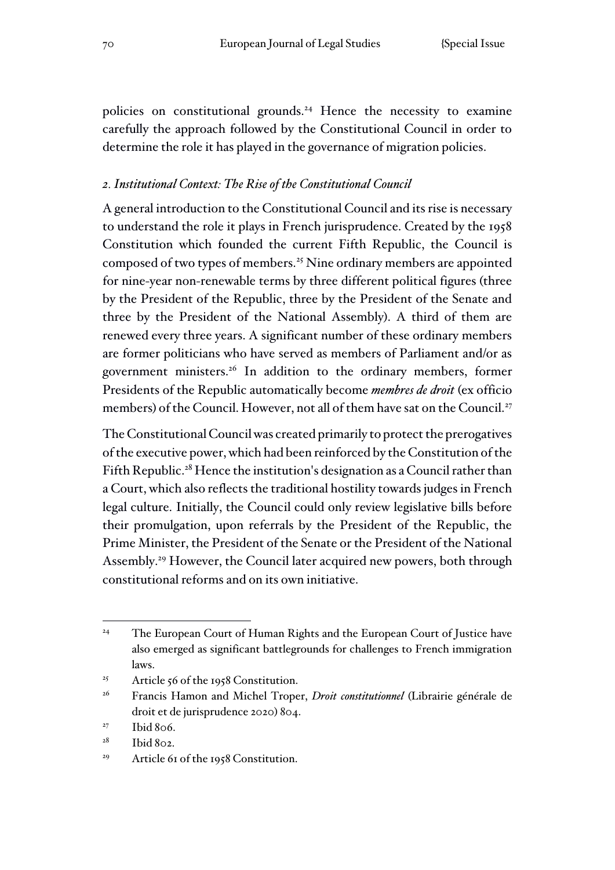policies on constitutional grounds.<sup>24</sup> Hence the necessity to examine carefully the approach followed by the Constitutional Council in order to determine the role it has played in the governance of migration policies.

### *2. Institutional Context: The Rise of the Constitutional Council*

A general introduction to the Constitutional Council and its rise is necessary to understand the role it plays in French jurisprudence. Created by the 1958 Constitution which founded the current Fifth Republic, the Council is composed of two types of members.<sup>25</sup> Nine ordinary members are appointed for nine-year non-renewable terms by three different political figures (three by the President of the Republic, three by the President of the Senate and three by the President of the National Assembly). A third of them are renewed every three years. A significant number of these ordinary members are former politicians who have served as members of Parliament and/or as government ministers.<sup>26</sup> In addition to the ordinary members, former Presidents of the Republic automatically become *membres de droit* (ex officio members) of the Council. However, not all of them have sat on the Council.<sup>27</sup>

The Constitutional Council was created primarily to protect the prerogatives of the executive power, which had been reinforced by the Constitution of the Fifth Republic.<sup>28</sup> Hence the institution's designation as a Council rather than a Court, which also reflects the traditional hostility towards judges in French legal culture. Initially, the Council could only review legislative bills before their promulgation, upon referrals by the President of the Republic, the Prime Minister, the President of the Senate or the President of the National Assembly.<sup>29</sup> However, the Council later acquired new powers, both through constitutional reforms and on its own initiative.

- <sup>25</sup> Article 56 of the 1958 Constitution.
- <sup>26</sup> Francis Hamon and Michel Troper, *Droit constitutionnel* (Librairie générale de droit et de jurisprudence 2020) 804.
- $27$  Ibid 806.

<sup>&</sup>lt;sup>24</sup> The European Court of Human Rights and the European Court of Justice have also emerged as significant battlegrounds for challenges to French immigration laws.

<sup>&</sup>lt;sup>28</sup> Ibid 802.

<sup>&</sup>lt;sup>29</sup> Article 61 of the 1958 Constitution.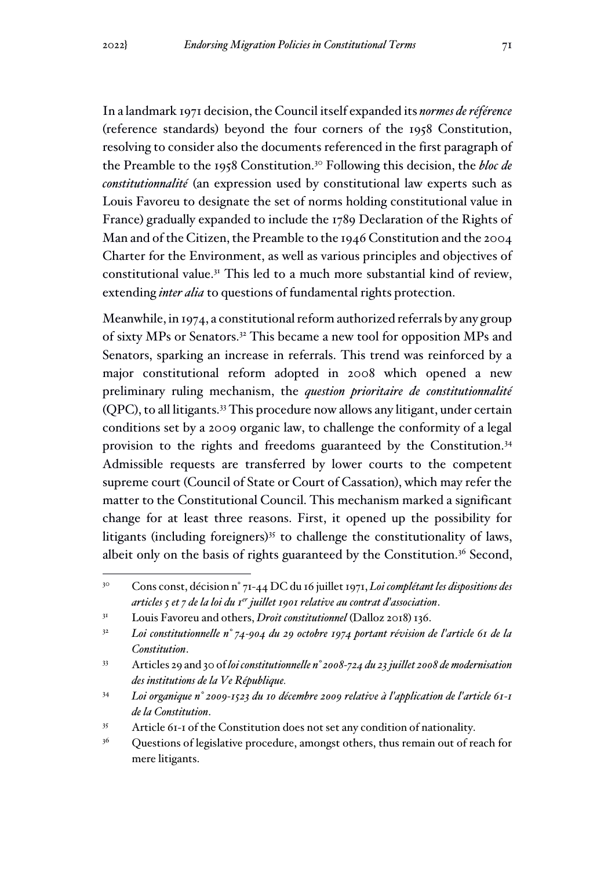In a landmark 1971 decision, the Council itself expanded its *normes de référence*  (reference standards) beyond the four corners of the 1958 Constitution, resolving to consider also the documents referenced in the first paragraph of the Preamble to the 1958 Constitution.<sup>30</sup> Following this decision, the *bloc de constitutionnalité* (an expression used by constitutional law experts such as Louis Favoreu to designate the set of norms holding constitutional value in France) gradually expanded to include the 1789 Declaration of the Rights of Man and of the Citizen, the Preamble to the 1946 Constitution and the 2004 Charter for the Environment, as well as various principles and objectives of constitutional value.<sup>31</sup> This led to a much more substantial kind of review, extending *inter alia* to questions of fundamental rights protection.

Meanwhile, in 1974, a constitutional reform authorized referrals by any group of sixty MPs or Senators.<sup>32</sup> This became a new tool for opposition MPs and Senators, sparking an increase in referrals. This trend was reinforced by a major constitutional reform adopted in 2008 which opened a new preliminary ruling mechanism, the *question prioritaire de constitutionnalité* (QPC), to all litigants.<sup>33</sup> This procedure now allows any litigant, under certain conditions set by a 2009 organic law, to challenge the conformity of a legal provision to the rights and freedoms guaranteed by the Constitution.<sup>34</sup> Admissible requests are transferred by lower courts to the competent supreme court (Council of State or Court of Cassation), which may refer the matter to the Constitutional Council. This mechanism marked a significant change for at least three reasons. First, it opened up the possibility for litigants (including foreigners) $35$  to challenge the constitutionality of laws, albeit only on the basis of rights guaranteed by the Constitution.<sup>36</sup> Second,

<sup>30</sup> Cons const, décision n° 71-44 DC du 16 juillet 1971, *Loi complétant les dispositions des articles 5 et 7 de la loi du 1er juillet 1901 relative au contrat d'association*.

<sup>31</sup> Louis Favoreu and others, *Droit constitutionnel* (Dalloz 2018) 136.

<sup>32</sup> *Loi constitutionnelle n° 74-904 du 29 octobre 1974 portant révision de l'article 61 de la Constitution*.

<sup>33</sup> Articles 29 and 30 of *loi constitutionnelle n° 2008-724 du 23 juillet 2008 de modernisation des institutions de la Ve République.* 

<sup>34</sup> *Loi organique n° 2009-1523 du 10 décembre 2009 relative à l'application de l'article 61-1 de la Constitution*.

<sup>35</sup> Article 61-1 of the Constitution does not set any condition of nationality.

<sup>&</sup>lt;sup>36</sup> Questions of legislative procedure, amongst others, thus remain out of reach for mere litigants.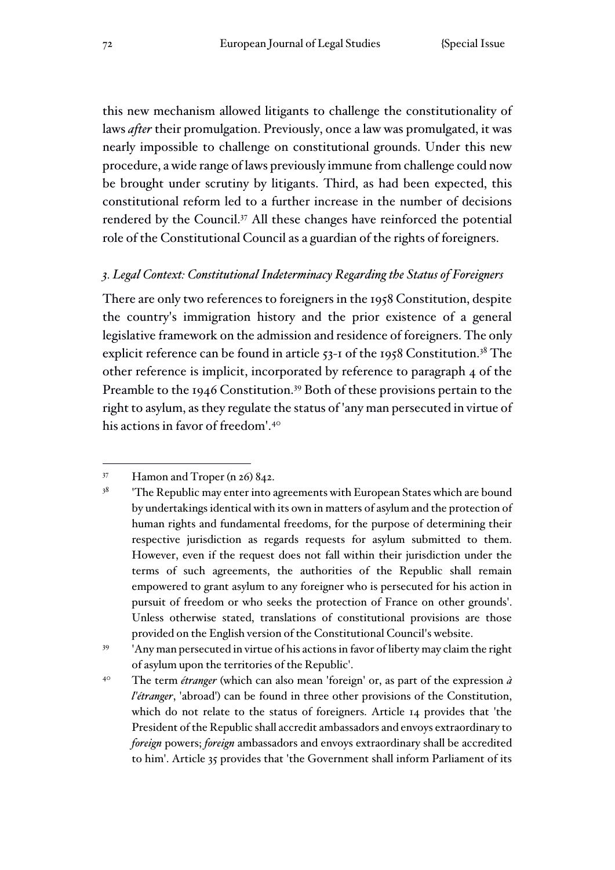this new mechanism allowed litigants to challenge the constitutionality of laws *after* their promulgation. Previously, once a law was promulgated, it was nearly impossible to challenge on constitutional grounds. Under this new procedure, a wide range of laws previously immune from challenge could now be brought under scrutiny by litigants. Third, as had been expected, this constitutional reform led to a further increase in the number of decisions rendered by the Council.<sup>37</sup> All these changes have reinforced the potential role of the Constitutional Council as a guardian of the rights of foreigners.

#### *3. Legal Context: Constitutional Indeterminacy Regarding the Status of Foreigners*

There are only two references to foreigners in the 1958 Constitution, despite the country's immigration history and the prior existence of a general legislative framework on the admission and residence of foreigners. The only explicit reference can be found in article 53-1 of the 1958 Constitution.<sup>38</sup> The other reference is implicit, incorporated by reference to paragraph 4 of the Preamble to the 1946 Constitution.<sup>39</sup> Both of these provisions pertain to the right to asylum, as they regulate the status of 'any man persecuted in virtue of his actions in favor of freedom'.<sup>40</sup>

<sup>39</sup> 'Any man persecuted in virtue of his actions in favor of liberty may claim the right of asylum upon the territories of the Republic'.

<sup>40</sup> The term *étranger* (which can also mean 'foreign' or, as part of the expression *à l'étranger*, 'abroad') can be found in three other provisions of the Constitution, which do not relate to the status of foreigners. Article 14 provides that 'the President of the Republic shall accredit ambassadors and envoys extraordinary to *foreign* powers; *foreign* ambassadors and envoys extraordinary shall be accredited to him'. Article 35 provides that 'the Government shall inform Parliament of its

 $37$  Hamon and Troper (n 26) 842.

 $38$  'The Republic may enter into agreements with European States which are bound by undertakings identical with its own in matters of asylum and the protection of human rights and fundamental freedoms, for the purpose of determining their respective jurisdiction as regards requests for asylum submitted to them. However, even if the request does not fall within their jurisdiction under the terms of such agreements, the authorities of the Republic shall remain empowered to grant asylum to any foreigner who is persecuted for his action in pursuit of freedom or who seeks the protection of France on other grounds'. Unless otherwise stated, translations of constitutional provisions are those provided on the English version of the Constitutional Council's website.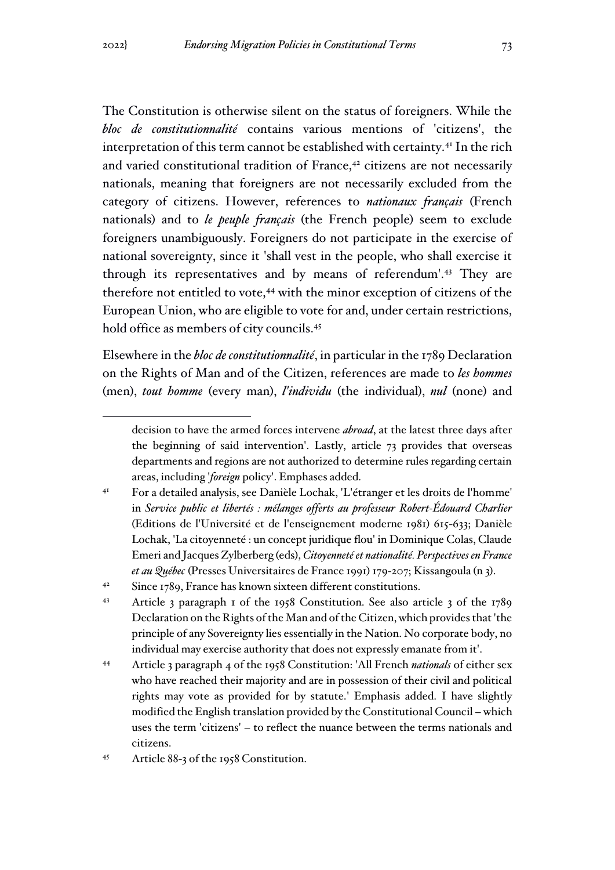The Constitution is otherwise silent on the status of foreigners. While the *bloc de constitutionnalité* contains various mentions of 'citizens', the interpretation of this term cannot be established with certainty.<sup>41</sup> In the rich and varied constitutional tradition of France,<sup>42</sup> citizens are not necessarily nationals, meaning that foreigners are not necessarily excluded from the category of citizens. However, references to *nationaux français* (French nationals) and to *le peuple français* (the French people) seem to exclude foreigners unambiguously. Foreigners do not participate in the exercise of national sovereignty, since it 'shall vest in the people, who shall exercise it through its representatives and by means of referendum'.<sup>43</sup> They are therefore not entitled to vote,<sup>44</sup> with the minor exception of citizens of the European Union, who are eligible to vote for and, under certain restrictions, hold office as members of city councils.<sup>45</sup>

Elsewhere in the *bloc de constitutionnalité*, in particular in the 1789 Declaration on the Rights of Man and of the Citizen, references are made to *les hommes*  (men), *tout homme* (every man), *l'individu* (the individual), *nul* (none) and

decision to have the armed forces intervene *abroad*, at the latest three days after the beginning of said intervention'. Lastly, article 73 provides that overseas departments and regions are not authorized to determine rules regarding certain areas, including '*foreign* policy'. Emphases added.

<sup>41</sup> For a detailed analysis, see Danièle Lochak, 'L'étranger et les droits de l'homme' in *Service public et libertés : mélanges offerts au professeur Robert-Édouard Charlier*  (Editions de l'Université et de l'enseignement moderne 1981) 615-633; Danièle Lochak, 'La citoyenneté : un concept juridique flou' in Dominique Colas, Claude Emeri and Jacques Zylberberg (eds), *Citoyenneté et nationalité. Perspectives en France et au Québec* (Presses Universitaires de France 1991) 179-207; Kissangoula (n 3).

<sup>&</sup>lt;sup>42</sup> Since 1789, France has known sixteen different constitutions.

<sup>43</sup> Article 3 paragraph 1 of the 1958 Constitution. See also article 3 of the 1789 Declaration on the Rights of the Man and of the Citizen, which provides that 'the principle of any Sovereignty lies essentially in the Nation. No corporate body, no individual may exercise authority that does not expressly emanate from it'.

<sup>44</sup> Article 3 paragraph 4 of the 1958 Constitution: 'All French *nationals* of either sex who have reached their majority and are in possession of their civil and political rights may vote as provided for by statute.' Emphasis added. I have slightly modified the English translation provided by the Constitutional Council – which uses the term 'citizens' – to reflect the nuance between the terms nationals and citizens.

<sup>45</sup> Article 88-3 of the 1958 Constitution.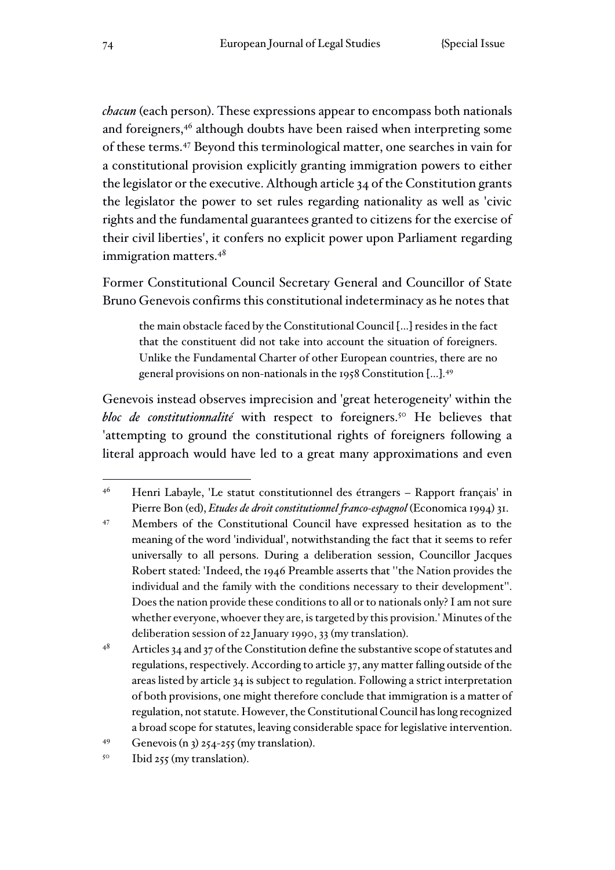*chacun* (each person). These expressions appear to encompass both nationals and foreigners,<sup>46</sup> although doubts have been raised when interpreting some of these terms.<sup>47</sup> Beyond this terminological matter, one searches in vain for a constitutional provision explicitly granting immigration powers to either the legislator or the executive. Although article 34 of the Constitution grants the legislator the power to set rules regarding nationality as well as 'civic rights and the fundamental guarantees granted to citizens for the exercise of their civil liberties', it confers no explicit power upon Parliament regarding immigration matters.<sup>48</sup>

Former Constitutional Council Secretary General and Councillor of State Bruno Genevois confirms this constitutional indeterminacy as he notes that

the main obstacle faced by the Constitutional Council […] resides in the fact that the constituent did not take into account the situation of foreigners. Unlike the Fundamental Charter of other European countries, there are no general provisions on non-nationals in the 1958 Constitution […].<sup>49</sup>

Genevois instead observes imprecision and 'great heterogeneity' within the bloc de constitutionnalité with respect to foreigners.<sup>50</sup> He believes that 'attempting to ground the constitutional rights of foreigners following a literal approach would have led to a great many approximations and even

<sup>46</sup> Henri Labayle, 'Le statut constitutionnel des étrangers – Rapport français' in Pierre Bon (ed), *Etudes de droit constitutionnel franco-espagnol* (Economica 1994) 31.

<sup>47</sup> Members of the Constitutional Council have expressed hesitation as to the meaning of the word 'individual', notwithstanding the fact that it seems to refer universally to all persons. During a deliberation session, Councillor Jacques Robert stated: 'Indeed, the 1946 Preamble asserts that ''the Nation provides the individual and the family with the conditions necessary to their development''. Does the nation provide these conditions to all or to nationals only? I am not sure whether everyone, whoever they are, is targeted by this provision.' Minutes of the deliberation session of 22 January 1990, 33 (my translation).

 $48$  Articles 34 and 37 of the Constitution define the substantive scope of statutes and regulations, respectively. According to article 37, any matter falling outside of the areas listed by article 34 is subject to regulation. Following a strict interpretation of both provisions, one might therefore conclude that immigration is a matter of regulation, not statute. However, the Constitutional Council has long recognized a broad scope for statutes, leaving considerable space for legislative intervention.

 $^{49}$  Genevois (n 3) 254-255 (my translation).

<sup>&</sup>lt;sup>50</sup> Ibid 255 (my translation).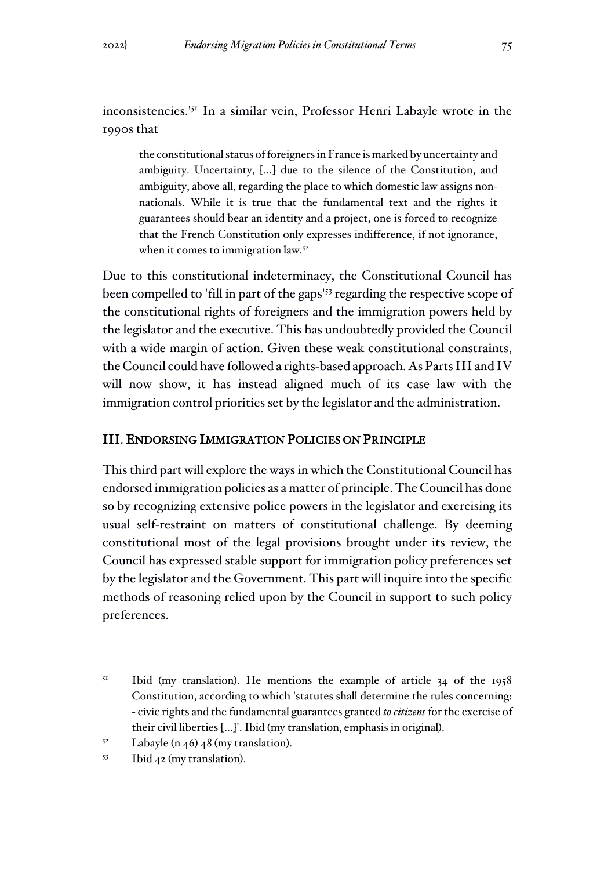inconsistencies.'<sup>51</sup> In a similar vein, Professor Henri Labayle wrote in the 1990s that

the constitutional status of foreigners in France is marked by uncertainty and ambiguity. Uncertainty, […] due to the silence of the Constitution, and ambiguity, above all, regarding the place to which domestic law assigns nonnationals. While it is true that the fundamental text and the rights it guarantees should bear an identity and a project, one is forced to recognize that the French Constitution only expresses indifference, if not ignorance, when it comes to immigration law.<sup>52</sup>

Due to this constitutional indeterminacy, the Constitutional Council has been compelled to 'fill in part of the gaps'<sup>53</sup> regarding the respective scope of the constitutional rights of foreigners and the immigration powers held by the legislator and the executive. This has undoubtedly provided the Council with a wide margin of action. Given these weak constitutional constraints, the Council could have followed a rights-based approach. As Parts III and IV will now show, it has instead aligned much of its case law with the immigration control priorities set by the legislator and the administration.

#### III. ENDORSING IMMIGRATION POLICIES ON PRINCIPLE

This third part will explore the ways in which the Constitutional Council has endorsed immigration policies as a matter of principle. The Council has done so by recognizing extensive police powers in the legislator and exercising its usual self-restraint on matters of constitutional challenge. By deeming constitutional most of the legal provisions brought under its review, the Council has expressed stable support for immigration policy preferences set by the legislator and the Government. This part will inquire into the specific methods of reasoning relied upon by the Council in support to such policy preferences.

 $51$  Ibid (my translation). He mentions the example of article 34 of the 1958 Constitution, according to which 'statutes shall determine the rules concerning: - civic rights and the fundamental guarantees granted *to citizens* for the exercise of their civil liberties […]'. Ibid (my translation, emphasis in original).

 $5<sup>2</sup>$  Labayle (n 46) 48 (my translation).

<sup>53</sup> Ibid 42 (my translation).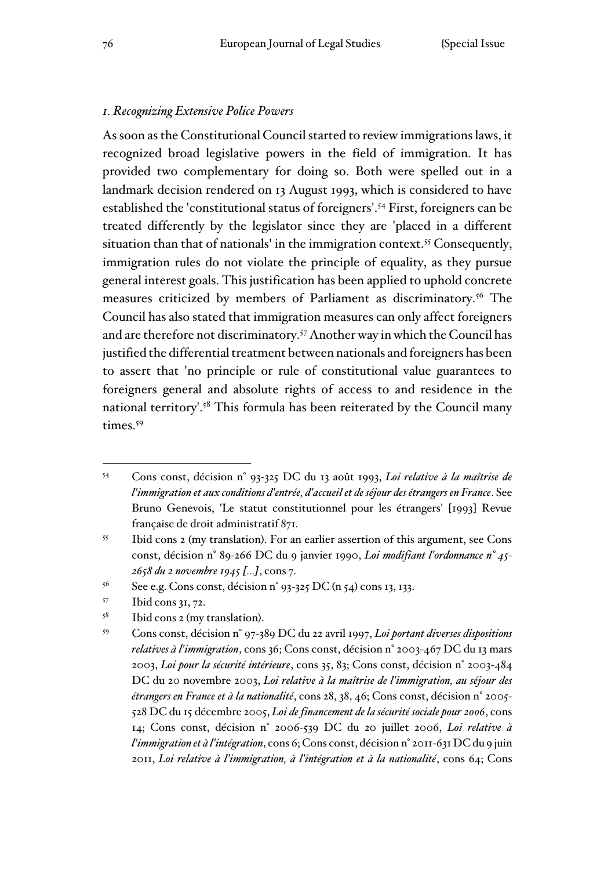#### *1. Recognizing Extensive Police Powers*

As soon as the Constitutional Council started to review immigrations laws, it recognized broad legislative powers in the field of immigration. It has provided two complementary for doing so. Both were spelled out in a landmark decision rendered on 13 August 1993, which is considered to have established the 'constitutional status of foreigners'.<sup>54</sup> First, foreigners can be treated differently by the legislator since they are 'placed in a different situation than that of nationals' in the immigration context.<sup>55</sup> Consequently, immigration rules do not violate the principle of equality, as they pursue general interest goals. This justification has been applied to uphold concrete measures criticized by members of Parliament as discriminatory.<sup>56</sup> The Council has also stated that immigration measures can only affect foreigners and are therefore not discriminatory.<sup>57</sup> Another way in which the Council has justified the differential treatment between nationals and foreigners has been to assert that 'no principle or rule of constitutional value guarantees to foreigners general and absolute rights of access to and residence in the national territory'.<sup>58</sup> This formula has been reiterated by the Council many times.<sup>59</sup>

- <sup>57</sup> Ibid cons 31, 72.
- <sup>58</sup> Ibid cons 2 (my translation).

<sup>54</sup> Cons const, décision n° 93-325 DC du 13 août 1993, *Loi relative à la maîtrise de l'immigration et aux conditions d'entrée, d'accueil et de séjour des étrangers en France*. See Bruno Genevois, 'Le statut constitutionnel pour les étrangers' [1993] Revue française de droit administratif 871.

<sup>55</sup> Ibid cons 2 (my translation). For an earlier assertion of this argument, see Cons const, décision n° 89-266 DC du 9 janvier 1990, *Loi modifiant l'ordonnance n° 45- 2658 du 2 novembre 1945 [...]*, cons 7.

 $56$  See e.g. Cons const, décision n° 93-325 DC (n 54) cons 13, 133.

<sup>59</sup> Cons const, décision n° 97-389 DC du 22 avril 1997, *Loi portant diverses dispositions relatives à l'immigration*, cons 36; Cons const, décision n° 2003-467 DC du 13 mars 2003, *Loi pour la sécurité intérieure*, cons 35, 83; Cons const, décision n° 2003-484 DC du 20 novembre 2003, *Loi relative à la maîtrise de l'immigration, au séjour des étrangers en France et à la nationalité*, cons 28, 38, 46; Cons const, décision n° 2005- 528 DC du 15 décembre 2005, *Loi de financement de la sécurité sociale pour 2006*, cons 14; Cons const, décision n° 2006-539 DC du 20 juillet 2006, *Loi relative à l'immigration et à l'intégration*, cons 6; Cons const, décision n° 2011-631 DC du 9 juin 2011, *Loi relative à l'immigration, à l'intégration et à la nationalité*, cons 64; Cons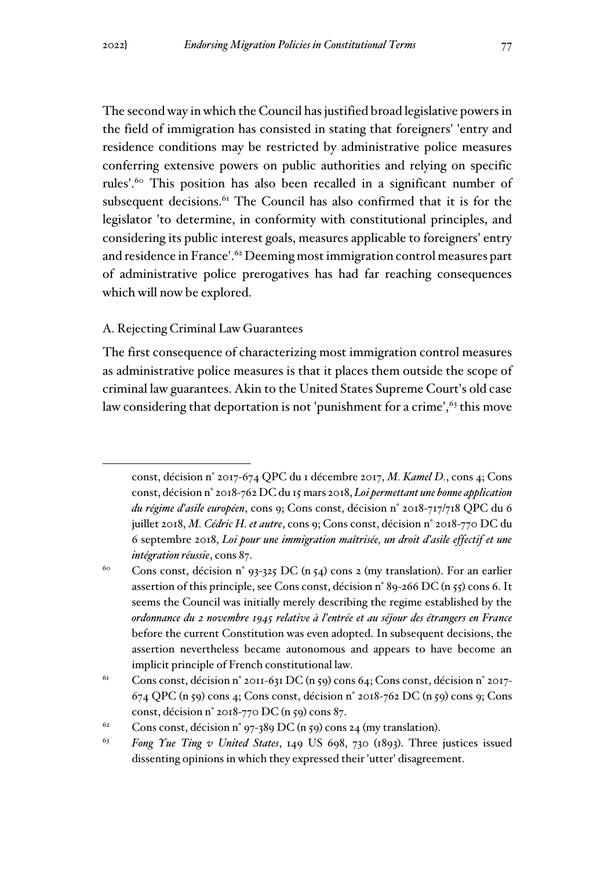The second way in which the Council has justified broad legislative powers in the field of immigration has consisted in stating that foreigners' 'entry and residence conditions may be restricted by administrative police measures conferring extensive powers on public authorities and relying on specific rules'.<sup>60</sup> This position has also been recalled in a significant number of subsequent decisions.<sup>61</sup> The Council has also confirmed that it is for the legislator 'to determine, in conformity with constitutional principles, and

considering its public interest goals, measures applicable to foreigners' entry and residence in France'.<sup>62</sup> Deeming most immigration control measures part of administrative police prerogatives has had far reaching consequences which will now be explored.

#### A. Rejecting Criminal Law Guarantees

The first consequence of characterizing most immigration control measures as administrative police measures is that it places them outside the scope of criminal law guarantees. Akin to the United States Supreme Court's old case law considering that deportation is not 'punishment for a crime',<sup>63</sup> this move

const, décision n° 2017-674 QPC du 1 décembre 2017, *M. Kamel D.*, cons 4; Cons const, décision n° 2018-762 DC du 15 mars 2018, *Loi permettant une bonne application du régime d'asile européen*, cons 9; Cons const, décision n° 2018-717/718 QPC du 6 juillet 2018, *M. Cédric H. et autre*, cons 9; Cons const, décision n° 2018-770 DC du 6 septembre 2018, *Loi pour une immigration maîtrisée, un droit d'asile effectif et une intégration réussie*, cons 87.

<sup>&</sup>lt;sup>60</sup> Cons const, décision n° 93-325 DC (n 54) cons 2 (my translation). For an earlier assertion of this principle, see Cons const, décision n° 89-266 DC (n 55) cons 6. It seems the Council was initially merely describing the regime established by the *ordonnance du 2 novembre 1945 relative à l'entrée et au séjour des étrangers en France* before the current Constitution was even adopted. In subsequent decisions, the assertion nevertheless became autonomous and appears to have become an implicit principle of French constitutional law.

<sup>&</sup>lt;sup>61</sup> Cons const, décision n° 2011-631 DC (n 59) cons 64; Cons const, décision n° 2017-674 QPC (n 59) cons 4; Cons const, décision n° 2018-762 DC (n 59) cons 9; Cons const, décision n° 2018-770 DC (n 59) cons 87.

<sup>&</sup>lt;sup>62</sup> Cons const, décision n° 97-389 DC (n 59) cons 24 (my translation).

<sup>63</sup> *Fong Yue Ting v United States*, 149 US 698, 730 (1893). Three justices issued dissenting opinions in which they expressed their 'utter' disagreement.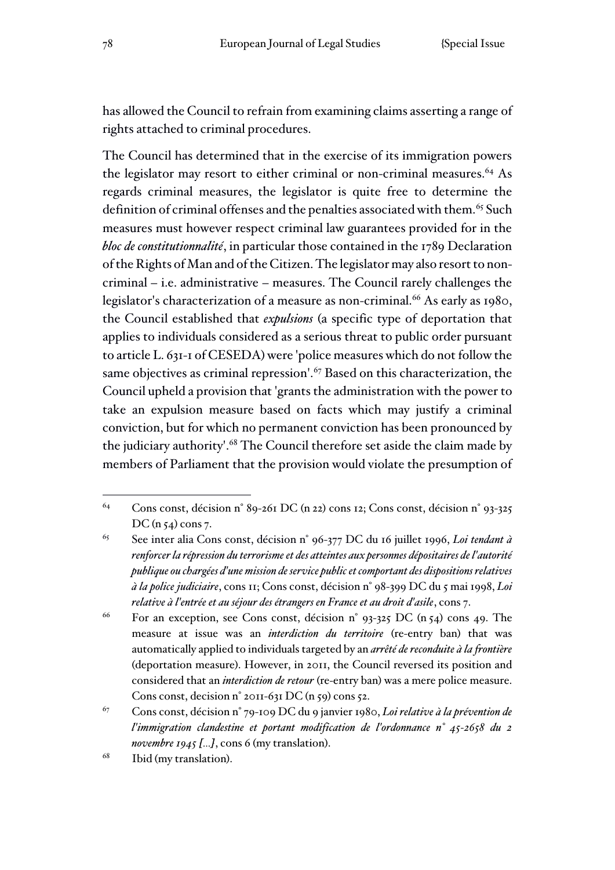has allowed the Council to refrain from examining claims asserting a range of rights attached to criminal procedures.

The Council has determined that in the exercise of its immigration powers the legislator may resort to either criminal or non-criminal measures.<sup>64</sup> As regards criminal measures, the legislator is quite free to determine the definition of criminal offenses and the penalties associated with them.<sup>65</sup> Such measures must however respect criminal law guarantees provided for in the *bloc de constitutionnalité*, in particular those contained in the 1789 Declaration of the Rights of Man and of the Citizen. The legislator may also resort to noncriminal – i.e. administrative – measures. The Council rarely challenges the legislator's characterization of a measure as non-criminal.<sup>66</sup> As early as 1980, the Council established that *expulsions* (a specific type of deportation that applies to individuals considered as a serious threat to public order pursuant to article L. 631-1 of CESEDA) were 'police measures which do not follow the same objectives as criminal repression'.<sup>67</sup> Based on this characterization, the Council upheld a provision that 'grants the administration with the power to take an expulsion measure based on facts which may justify a criminal conviction, but for which no permanent conviction has been pronounced by the judiciary authority'.<sup>68</sup> The Council therefore set aside the claim made by members of Parliament that the provision would violate the presumption of

<sup>64</sup> Cons const, décision n° 89-261 DC (n 22) cons 12; Cons const, décision n° 93-325 DC (n  $54$ ) cons 7.

<sup>65</sup> See inter alia Cons const, décision n° 96-377 DC du 16 juillet 1996, *Loi tendant à renforcer la répression du terrorisme et des atteintes aux personnes dépositaires de l'autorité publique ou chargées d'une mission de service public et comportant des dispositions relatives à la police judiciaire*, cons 11; Cons const, décision n° 98-399 DC du 5 mai 1998, *Loi relative à l'entrée et au séjour des étrangers en France et au droit d'asile*, cons 7.

<sup>&</sup>lt;sup>66</sup> For an exception, see Cons const, décision n°  $93-325$  DC (n  $54$ ) cons 49. The measure at issue was an *interdiction du territoire* (re-entry ban) that was automatically applied to individuals targeted by an *arrêté de reconduite à la frontière* (deportation measure). However, in 2011, the Council reversed its position and considered that an *interdiction de retour* (re-entry ban) was a mere police measure. Cons const, decision n° 2011-631 DC (n 59) cons 52.

<sup>67</sup> Cons const, décision n° 79-109 DC du 9 janvier 1980, *Loi relative à la prévention de l'immigration clandestine et portant modification de l'ordonnance n° 45-2658 du 2 novembre 1945 […]*, cons 6 (my translation).

<sup>68</sup> Ibid (my translation).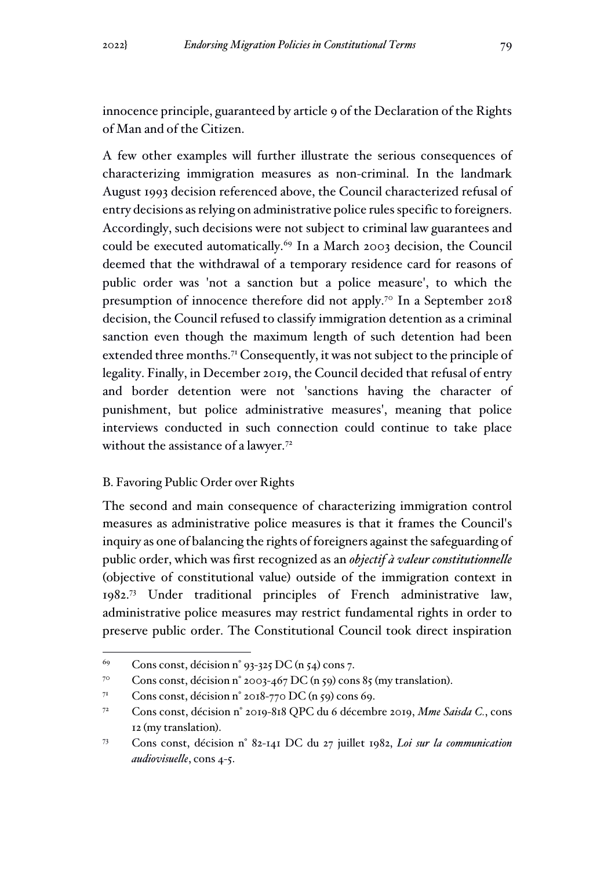innocence principle, guaranteed by article 9 of the Declaration of the Rights of Man and of the Citizen.

A few other examples will further illustrate the serious consequences of characterizing immigration measures as non-criminal. In the landmark August 1993 decision referenced above, the Council characterized refusal of entry decisions as relying on administrative police rules specific to foreigners. Accordingly, such decisions were not subject to criminal law guarantees and could be executed automatically.<sup>69</sup> In a March 2003 decision, the Council deemed that the withdrawal of a temporary residence card for reasons of public order was 'not a sanction but a police measure', to which the presumption of innocence therefore did not apply.<sup>70</sup> In a September 2018 decision, the Council refused to classify immigration detention as a criminal sanction even though the maximum length of such detention had been extended three months.<sup>71</sup> Consequently, it was not subject to the principle of legality. Finally, in December 2019, the Council decided that refusal of entry and border detention were not 'sanctions having the character of punishment, but police administrative measures', meaning that police interviews conducted in such connection could continue to take place without the assistance of a lawyer.<sup>72</sup>

#### B. Favoring Public Order over Rights

The second and main consequence of characterizing immigration control measures as administrative police measures is that it frames the Council's inquiry as one of balancing the rights of foreigners against the safeguarding of public order, which was first recognized as an *objectif à valeur constitutionnelle* (objective of constitutional value) outside of the immigration context in 1982.<sup>73</sup> Under traditional principles of French administrative law, administrative police measures may restrict fundamental rights in order to preserve public order. The Constitutional Council took direct inspiration

<sup>&</sup>lt;sup>69</sup> Cons const, décision n° 93-325 DC (n 54) cons 7.

<sup>&</sup>lt;sup>70</sup> Cons const, décision n° 2003-467 DC (n 59) cons 85 (my translation).

<sup>&</sup>lt;sup>71</sup> Cons const, décision n° 2018-770 DC (n 59) cons 69.

<sup>72</sup> Cons const, décision n° 2019-818 QPC du 6 décembre 2019, *Mme Saisda C.*, cons 12 (my translation).

<sup>73</sup> Cons const, décision n° 82-141 DC du 27 juillet 1982, *Loi sur la communication audiovisuelle*, cons 4-5.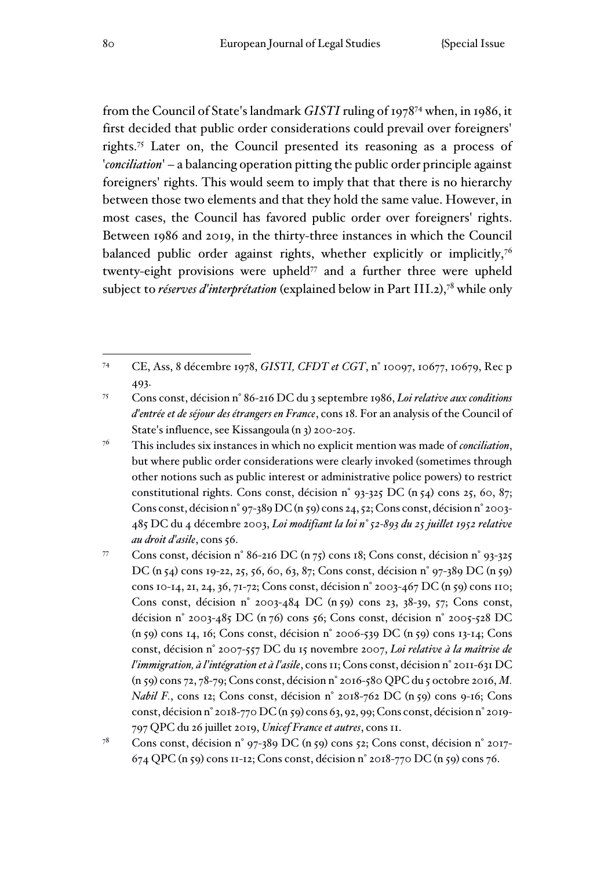from the Council of State's landmark *GISTI* ruling of 1978<sup>74</sup> when, in 1986, it first decided that public order considerations could prevail over foreigners' rights.<sup>75</sup> Later on, the Council presented its reasoning as a process of '*conciliation*' – a balancing operation pitting the public order principle against foreigners' rights. This would seem to imply that that there is no hierarchy between those two elements and that they hold the same value. However, in most cases, the Council has favored public order over foreigners' rights. Between 1986 and 2019, in the thirty-three instances in which the Council balanced public order against rights, whether explicitly or implicitly,<sup>76</sup> twenty-eight provisions were upheld<sup> $77$ </sup> and a further three were upheld subject to *réserves d'interprétation* (explained below in Part III.2),<sup>78</sup> while only

<sup>74</sup> CE, Ass, 8 décembre 1978, *GISTI, CFDT et CGT*, n° 10097, 10677, 10679, Rec p 493.

<sup>75</sup> Cons const, décision n° 86-216 DC du 3 septembre 1986, *Loi relative aux conditions d'entrée et de séjour des étrangers en France*, cons 18. For an analysis of the Council of State's influence, see Kissangoula (n 3) 200-205.

<sup>76</sup> This includes six instances in which no explicit mention was made of *conciliation*, but where public order considerations were clearly invoked (sometimes through other notions such as public interest or administrative police powers) to restrict constitutional rights. Cons const, décision n° 93-325 DC (n 54) cons 25, 60, 87; Cons const, décision n° 97-389 DC (n 59) cons 24, 52; Cons const, décision n° 2003-485 DC du 4 décembre 2003, *Loi modifiant la loi n° 52-893 du 25 juillet 1952 relative au droit d'asile*, cons 56.

<sup>77</sup> Cons const, décision n° 86-216 DC (n 75) cons 18; Cons const, décision n° 93-325 DC (n 54) cons 19-22, 25, 56, 60, 63, 87; Cons const, décision n° 97-389 DC (n 59) cons 10-14, 21, 24, 36, 71-72; Cons const, décision n° 2003-467 DC (n 59) cons 110; Cons const, décision n° 2003-484 DC (n 59) cons 23, 38-39, 57; Cons const, décision n° 2003-485 DC (n 76) cons 56; Cons const, décision n° 2005-528 DC (n 59) cons 14, 16; Cons const, décision n° 2006-539 DC (n 59) cons 13-14; Cons const, décision n° 2007-557 DC du 15 novembre 2007, *Loi relative à la maîtrise de l'immigration, à l'intégration et à l'asile*, cons 11; Cons const, décision n° 2011-631 DC (n 59) cons 72, 78-79; Cons const, décision n° 2016-580 QPC du 5 octobre 2016, *M. Nabil F.*, cons 12; Cons const, décision n° 2018-762 DC (n 59) cons 9-16; Cons const, décision n° 2018-770 DC (n 59) cons 63, 92, 99; Cons const, décision n° 2019- 797 QPC du 26 juillet 2019, *Unicef France et autres*, cons 11.

<sup>78</sup> Cons const, décision n° 97-389 DC (n 59) cons 52; Cons const, décision n° 2017- 674 QPC (n 59) cons 11-12; Cons const, décision n° 2018-770 DC (n 59) cons 76.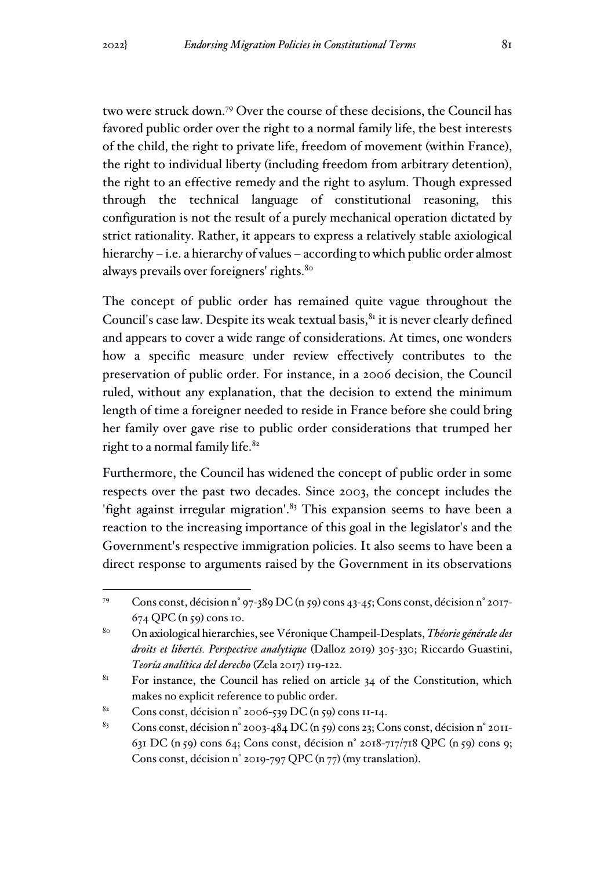two were struck down.<sup>79</sup> Over the course of these decisions, the Council has favored public order over the right to a normal family life, the best interests of the child, the right to private life, freedom of movement (within France), the right to individual liberty (including freedom from arbitrary detention), the right to an effective remedy and the right to asylum. Though expressed through the technical language of constitutional reasoning, this configuration is not the result of a purely mechanical operation dictated by strict rationality. Rather, it appears to express a relatively stable axiological hierarchy – i.e. a hierarchy of values – according to which public order almost always prevails over foreigners' rights.<sup>80</sup>

The concept of public order has remained quite vague throughout the Council's case law. Despite its weak textual basis, $81$  it is never clearly defined and appears to cover a wide range of considerations. At times, one wonders how a specific measure under review effectively contributes to the preservation of public order. For instance, in a 2006 decision, the Council ruled, without any explanation, that the decision to extend the minimum length of time a foreigner needed to reside in France before she could bring her family over gave rise to public order considerations that trumped her right to a normal family life.<sup>82</sup>

Furthermore, the Council has widened the concept of public order in some respects over the past two decades. Since 2003, the concept includes the 'fight against irregular migration'. $83$  This expansion seems to have been a reaction to the increasing importance of this goal in the legislator's and the Government's respective immigration policies. It also seems to have been a direct response to arguments raised by the Government in its observations

<sup>79</sup> Cons const, décision n° 97-389 DC (n 59) cons 43-45; Cons const, décision n° 2017- 674 QPC (n 59) cons 10.

<sup>80</sup> On axiological hierarchies, see Véronique Champeil-Desplats, *Théorie générale des droits et libertés. Perspective analytique* (Dalloz 2019) 305-330; Riccardo Guastini, *Teoría analítica del derecho* (Zela 2017) 119-122.

 $81$  For instance, the Council has relied on article 34 of the Constitution, which makes no explicit reference to public order.

<sup>&</sup>lt;sup>82</sup> Cons const, décision n° 2006-539 DC (n 59) cons 11-14.

<sup>&</sup>lt;sup>83</sup> Cons const, décision n° 2003-484 DC (n 59) cons 23; Cons const, décision n° 2011-631 DC (n 59) cons 64; Cons const, décision n° 2018-717/718 QPC (n 59) cons 9; Cons const, décision n° 2019-797 QPC (n 77) (my translation).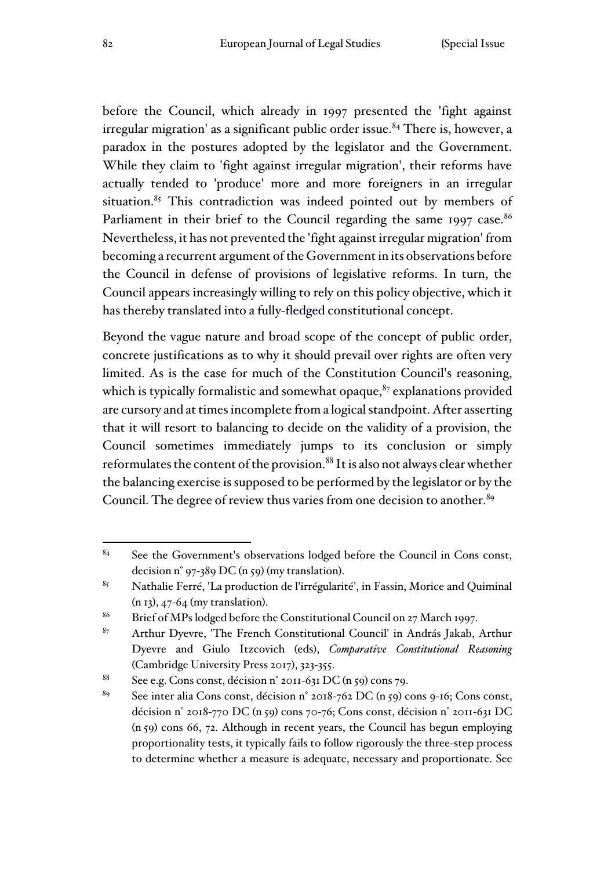before the Council, which already in 1997 presented the 'fight against  $irregular migration'$  as a significant public order issue. $84$  There is, however, a paradox in the postures adopted by the legislator and the Government. While they claim to 'fight against irregular migration', their reforms have actually tended to 'produce' more and more foreigners in an irregular situation.<sup>85</sup> This contradiction was indeed pointed out by members of Parliament in their brief to the Council regarding the same 1997 case.<sup>86</sup> Nevertheless, it has not prevented the 'fight against irregular migration' from becoming a recurrent argument of the Government in its observations before the Council in defense of provisions of legislative reforms. In turn, the Council appears increasingly willing to rely on this policy objective, which it has thereby translated into a fully-fledged constitutional concept.

Beyond the vague nature and broad scope of the concept of public order, concrete justifications as to why it should prevail over rights are often very limited. As is the case for much of the Constitution Council's reasoning, which is typically formalistic and somewhat opaque, $87$  explanations provided are cursory and at times incomplete from a logical standpoint. After asserting that it will resort to balancing to decide on the validity of a provision, the Council sometimes immediately jumps to its conclusion or simply reformulates the content of the provision.<sup>88</sup> It is also not always clear whether the balancing exercise is supposed to be performed by the legislator or by the Council. The degree of review thus varies from one decision to another.<sup>89</sup>

 $84$  See the Government's observations lodged before the Council in Cons const, decision n° 97-389 DC (n 59) (my translation).

<sup>&</sup>lt;sup>85</sup> Nathalie Ferré, 'La production de l'irrégularité', in Fassin, Morice and Quiminal (n 13), 47-64 (my translation).

<sup>&</sup>lt;sup>86</sup> Brief of MPs lodged before the Constitutional Council on 27 March 1997.

<sup>87</sup> Arthur Dyevre, 'The French Constitutional Council' in András Jakab, Arthur Dyevre and Giulo Itzcovich (eds), *Comparative Constitutional Reasoning* (Cambridge University Press 2017), 323-355.

<sup>&</sup>lt;sup>88</sup> See e.g. Cons const, décision n° 2011-631 DC (n 59) cons 79.

<sup>&</sup>lt;sup>89</sup> See inter alia Cons const, décision n° 2018-762 DC (n 59) cons 9-16; Cons const, décision n° 2018-770 DC (n 59) cons 70-76; Cons const, décision n° 2011-631 DC (n 59) cons 66, 72. Although in recent years, the Council has begun employing proportionality tests, it typically fails to follow rigorously the three-step process to determine whether a measure is adequate, necessary and proportionate. See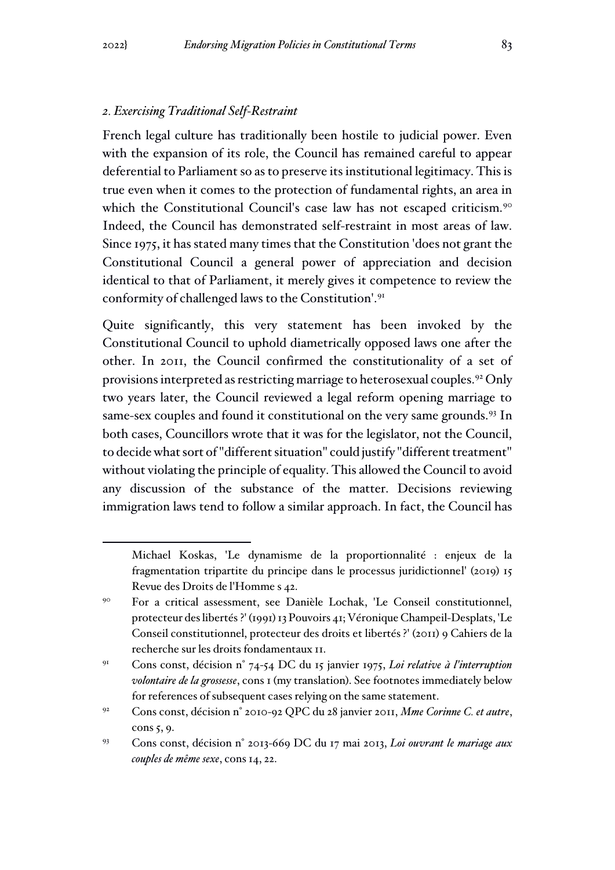#### *2. Exercising Traditional Self-Restraint*

French legal culture has traditionally been hostile to judicial power. Even with the expansion of its role, the Council has remained careful to appear deferential to Parliament so as to preserve its institutional legitimacy. This is true even when it comes to the protection of fundamental rights, an area in which the Constitutional Council's case law has not escaped criticism.<sup>90</sup> Indeed, the Council has demonstrated self-restraint in most areas of law. Since 1975, it has stated many times that the Constitution 'does not grant the Constitutional Council a general power of appreciation and decision identical to that of Parliament, it merely gives it competence to review the conformity of challenged laws to the Constitution'.<sup>91</sup>

Quite significantly, this very statement has been invoked by the Constitutional Council to uphold diametrically opposed laws one after the other. In 2011, the Council confirmed the constitutionality of a set of provisions interpreted as restricting marriage to heterosexual couples.<sup>92</sup> Only two years later, the Council reviewed a legal reform opening marriage to same-sex couples and found it constitutional on the very same grounds.<sup>93</sup> In both cases, Councillors wrote that it was for the legislator, not the Council, to decide what sort of "different situation" could justify "different treatment" without violating the principle of equality. This allowed the Council to avoid any discussion of the substance of the matter. Decisions reviewing immigration laws tend to follow a similar approach. In fact, the Council has

Michael Koskas, 'Le dynamisme de la proportionnalité : enjeux de la fragmentation tripartite du principe dans le processus juridictionnel' (2019) 15 Revue des Droits de l'Homme s 42.

<sup>90</sup> For a critical assessment, see Danièle Lochak, 'Le Conseil constitutionnel, protecteur des libertés ?' (1991) 13 Pouvoirs 41; Véronique Champeil-Desplats, 'Le Conseil constitutionnel, protecteur des droits et libertés ?' (2011) 9 Cahiers de la recherche sur les droits fondamentaux 11.

<sup>91</sup> Cons const, décision n° 74-54 DC du 15 janvier 1975, *Loi relative à l'interruption volontaire de la grossesse*, cons 1 (my translation). See footnotes immediately below for references of subsequent cases relying on the same statement.

<sup>92</sup> Cons const, décision n° 2010-92 QPC du 28 janvier 2011, *Mme Corinne C. et autre*, cons 5, 9.

<sup>93</sup> Cons const, décision n° 2013-669 DC du 17 mai 2013, *Loi ouvrant le mariage aux couples de même sexe*, cons 14, 22.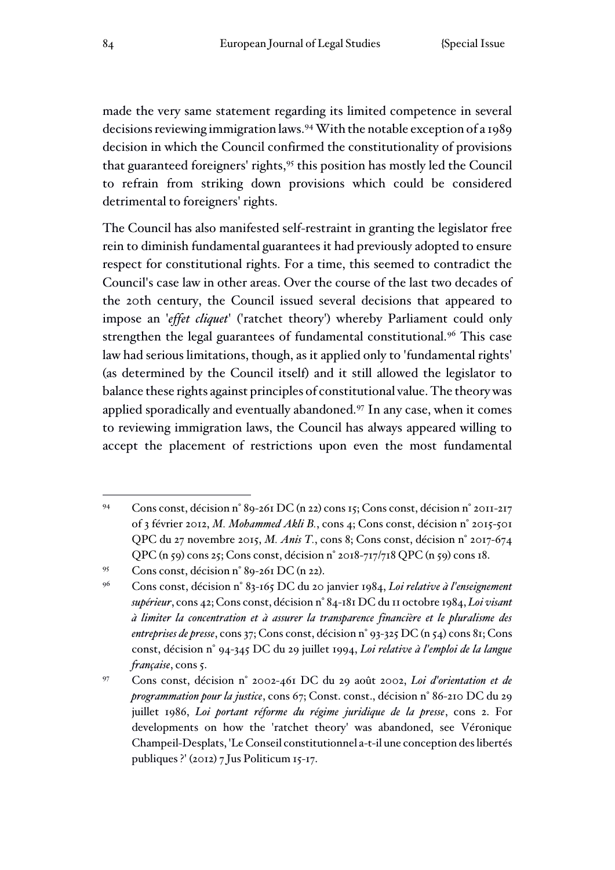made the very same statement regarding its limited competence in several decisions reviewing immigration laws.<sup>94</sup>With the notable exception of a 1989 decision in which the Council confirmed the constitutionality of provisions that guaranteed foreigners' rights,<sup>95</sup> this position has mostly led the Council to refrain from striking down provisions which could be considered detrimental to foreigners' rights.

The Council has also manifested self-restraint in granting the legislator free rein to diminish fundamental guarantees it had previously adopted to ensure respect for constitutional rights. For a time, this seemed to contradict the Council's case law in other areas. Over the course of the last two decades of the 20th century, the Council issued several decisions that appeared to impose an '*effet cliquet*' ('ratchet theory') whereby Parliament could only strengthen the legal guarantees of fundamental constitutional.<sup>96</sup> This case law had serious limitations, though, as it applied only to 'fundamental rights' (as determined by the Council itself) and it still allowed the legislator to balance these rights against principles of constitutional value. The theory was applied sporadically and eventually abandoned.<sup>97</sup> In any case, when it comes to reviewing immigration laws, the Council has always appeared willing to accept the placement of restrictions upon even the most fundamental

<sup>94</sup> Cons const, décision n° 89-261 DC (n 22) cons 15; Cons const, décision n° 2011-217 of 3 février 2012, *M. Mohammed Akli B.*, cons 4; Cons const, décision n° 2015-501 QPC du 27 novembre 2015, *M. Anis T.*, cons 8; Cons const, décision n° 2017-674 QPC (n 59) cons 25; Cons const, décision n° 2018-717/718 QPC (n 59) cons 18.

<sup>95</sup> Cons const, décision n° 89-261 DC (n 22).

<sup>96</sup> Cons const, décision n° 83-165 DC du 20 janvier 1984, *Loi relative à l'enseignement supérieur*, cons 42; Cons const, décision n° 84-181 DC du 11 octobre 1984, *Loi visant à limiter la concentration et à assurer la transparence financière et le pluralisme des entreprises de presse*, cons 37; Cons const, décision n° 93-325 DC (n 54) cons 81; Cons const, décision n° 94-345 DC du 29 juillet 1994, *Loi relative à l'emploi de la langue française*, cons 5.

<sup>97</sup> Cons const, décision n° 2002-461 DC du 29 août 2002, *Loi d'orientation et de programmation pour la justice*, cons 67; Const. const., décision n° 86-210 DC du 29 juillet 1986, *Loi portant réforme du régime juridique de la presse*, cons 2. For developments on how the 'ratchet theory' was abandoned, see Véronique Champeil-Desplats, 'Le Conseil constitutionnel a-t-il une conception des libertés publiques ?' (2012) 7 Jus Politicum 15-17.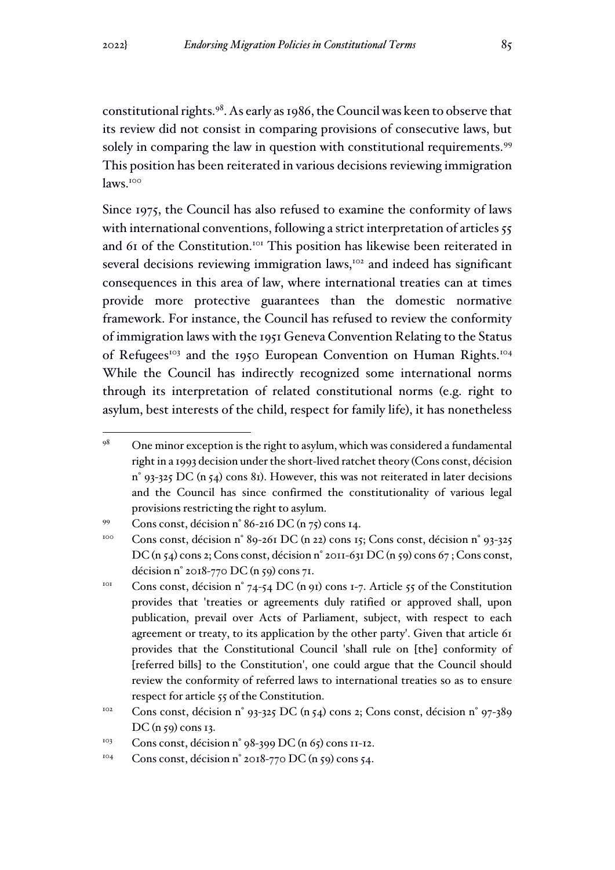constitutional rights.<sup>98</sup>. As early as 1986, the Council was keen to observe that its review did not consist in comparing provisions of consecutive laws, but solely in comparing the law in question with constitutional requirements.<sup>99</sup> This position has been reiterated in various decisions reviewing immigration laws.<sup>100</sup>

Since 1975, the Council has also refused to examine the conformity of laws with international conventions, following a strict interpretation of articles 55 and 61 of the Constitution.<sup>101</sup> This position has likewise been reiterated in several decisions reviewing immigration laws,<sup>102</sup> and indeed has significant consequences in this area of law, where international treaties can at times provide more protective guarantees than the domestic normative framework. For instance, the Council has refused to review the conformity of immigration laws with the 1951 Geneva Convention Relating to the Status of Refugees<sup>103</sup> and the 1950 European Convention on Human Rights.<sup>104</sup> While the Council has indirectly recognized some international norms through its interpretation of related constitutional norms (e.g. right to asylum, best interests of the child, respect for family life), it has nonetheless

 $98$  One minor exception is the right to asylum, which was considered a fundamental right in a 1993 decision under the short-lived ratchet theory (Cons const, décision  $n^{\circ}$  93-325 DC (n 54) cons 81). However, this was not reiterated in later decisions and the Council has since confirmed the constitutionality of various legal provisions restricting the right to asylum.

<sup>99</sup> Cons const, décision n° 86-216 DC (n 75) cons 14.

<sup>&</sup>lt;sup>100</sup> Cons const, décision n° 89-261 DC (n 22) cons 15; Cons const, décision n° 93-325 DC (n 54) cons 2; Cons const, décision n° 2011-631 DC (n 59) cons 67 ; Cons const, décision n° 2018-770 DC (n 59) cons 71.

<sup>&</sup>lt;sup>101</sup> Cons const, décision n° 74-54 DC (n 91) cons 1-7. Article 55 of the Constitution provides that 'treaties or agreements duly ratified or approved shall, upon publication, prevail over Acts of Parliament, subject, with respect to each agreement or treaty, to its application by the other party'. Given that article 61 provides that the Constitutional Council 'shall rule on [the] conformity of [referred bills] to the Constitution', one could argue that the Council should review the conformity of referred laws to international treaties so as to ensure respect for article 55 of the Constitution.

<sup>&</sup>lt;sup>102</sup> Cons const, décision n° 93-325 DC (n 54) cons 2; Cons const, décision n° 97-389 DC (n 59) cons 13.

<sup>&</sup>lt;sup>103</sup> Cons const, décision n°  $98-399$  DC (n  $65$ ) cons 11-12.

<sup>&</sup>lt;sup>104</sup> Cons const, décision n° 2018-770 DC (n 59) cons 54.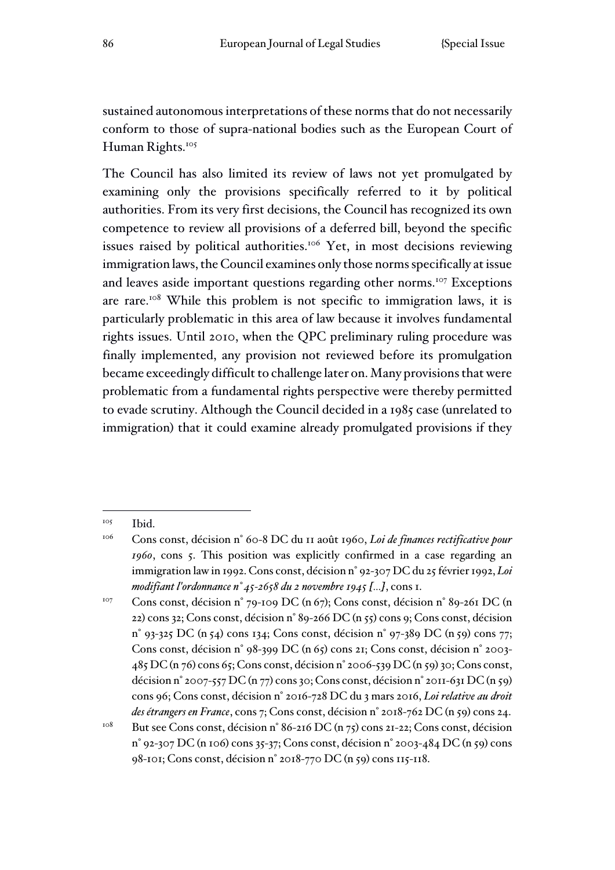sustained autonomous interpretations of these norms that do not necessarily conform to those of supra-national bodies such as the European Court of Human Rights.<sup>105</sup>

The Council has also limited its review of laws not yet promulgated by examining only the provisions specifically referred to it by political authorities. From its very first decisions, the Council has recognized its own competence to review all provisions of a deferred bill, beyond the specific issues raised by political authorities.<sup>106</sup> Yet, in most decisions reviewing immigration laws, the Council examines only those norms specifically at issue and leaves aside important questions regarding other norms.<sup>107</sup> Exceptions are rare.<sup>108</sup> While this problem is not specific to immigration laws, it is particularly problematic in this area of law because it involves fundamental rights issues. Until 2010, when the QPC preliminary ruling procedure was finally implemented, any provision not reviewed before its promulgation became exceedingly difficult to challenge later on. Many provisions that were problematic from a fundamental rights perspective were thereby permitted to evade scrutiny. Although the Council decided in a 1985 case (unrelated to immigration) that it could examine already promulgated provisions if they

<sup>&</sup>lt;sup>105</sup> Ibid.

<sup>106</sup> Cons const, décision n° 60-8 DC du 11 août 1960, *Loi de finances rectificative pour 1960*, cons 5. This position was explicitly confirmed in a case regarding an immigration law in 1992. Cons const, décision n° 92-307 DC du 25 février 1992, *Loi modifiant l'ordonnance n° 45-2658 du 2 novembre 1945 [...]*, cons 1.

<sup>107</sup> Cons const, décision n° 79-109 DC (n 67); Cons const, décision n° 89-261 DC (n 22) cons 32; Cons const, décision n° 89-266 DC (n 55) cons 9; Cons const, décision n° 93-325 DC (n 54) cons 134; Cons const, décision n° 97-389 DC (n 59) cons 77; Cons const, décision n° 98-399 DC (n 65) cons 21; Cons const, décision n° 2003- 485 DC (n 76) cons 65; Cons const, décision n° 2006-539 DC (n 59) 30; Cons const, décision n° 2007-557 DC (n 77) cons 30; Cons const, décision n° 2011-631 DC (n 59) cons 96; Cons const, décision n° 2016-728 DC du 3 mars 2016, *Loi relative au droit des étrangers en France*, cons 7; Cons const, décision n° 2018-762 DC (n 59) cons 24.

<sup>&</sup>lt;sup>108</sup> But see Cons const, décision n° 86-216 DC (n 75) cons 21-22; Cons const, décision n° 92-307 DC (n 106) cons 35-37; Cons const, décision n° 2003-484 DC (n 59) cons 98-101; Cons const, décision n° 2018-770 DC (n 59) cons 115-118.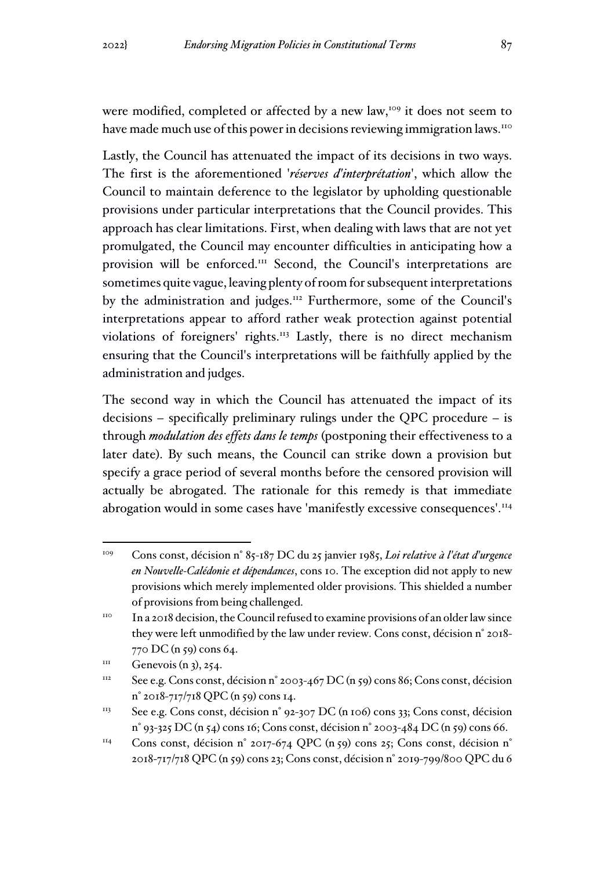were modified, completed or affected by a new law,<sup>109</sup> it does not seem to have made much use of this power in decisions reviewing immigration laws.<sup>110</sup>

Lastly, the Council has attenuated the impact of its decisions in two ways. The first is the aforementioned '*réserves d'interprétation*', which allow the Council to maintain deference to the legislator by upholding questionable provisions under particular interpretations that the Council provides. This approach has clear limitations. First, when dealing with laws that are not yet promulgated, the Council may encounter difficulties in anticipating how a provision will be enforced.<sup>111</sup> Second, the Council's interpretations are sometimes quite vague, leaving plenty of room for subsequent interpretations by the administration and judges.<sup>112</sup> Furthermore, some of the Council's interpretations appear to afford rather weak protection against potential violations of foreigners' rights.<sup>113</sup> Lastly, there is no direct mechanism ensuring that the Council's interpretations will be faithfully applied by the administration and judges.

The second way in which the Council has attenuated the impact of its decisions – specifically preliminary rulings under the QPC procedure – is through *modulation des effets dans le temps* (postponing their effectiveness to a later date). By such means, the Council can strike down a provision but specify a grace period of several months before the censored provision will actually be abrogated. The rationale for this remedy is that immediate abrogation would in some cases have 'manifestly excessive consequences'.<sup>114</sup>

<sup>109</sup> Cons const, décision n° 85-187 DC du 25 janvier 1985, *Loi relative à l'état d'urgence en Nouvelle-Calédonie et dépendances*, cons 10. The exception did not apply to new provisions which merely implemented older provisions. This shielded a number of provisions from being challenged.

<sup>&</sup>lt;sup>110</sup> In a 2018 decision, the Council refused to examine provisions of an older law since they were left unmodified by the law under review. Cons const, décision n° 2018- 770 DC (n 59) cons 64.

 $111$  Genevois (n 3), 254.

<sup>&</sup>lt;sup>112</sup> See e.g. Cons const, décision n° 2003-467 DC (n 59) cons 86; Cons const, décision n° 2018-717/718 QPC (n 59) cons 14.

<sup>&</sup>lt;sup>113</sup> See e.g. Cons const, décision n° 92-307 DC (n 106) cons 33; Cons const, décision n° 93-325 DC (n 54) cons 16; Cons const, décision n° 2003-484 DC (n 59) cons 66.

<sup>&</sup>lt;sup>114</sup> Cons const, décision n° 2017-674 QPC (n 59) cons 25; Cons const, décision n° 2018-717/718 QPC (n 59) cons 23; Cons const, décision n° 2019-799/800 QPC du 6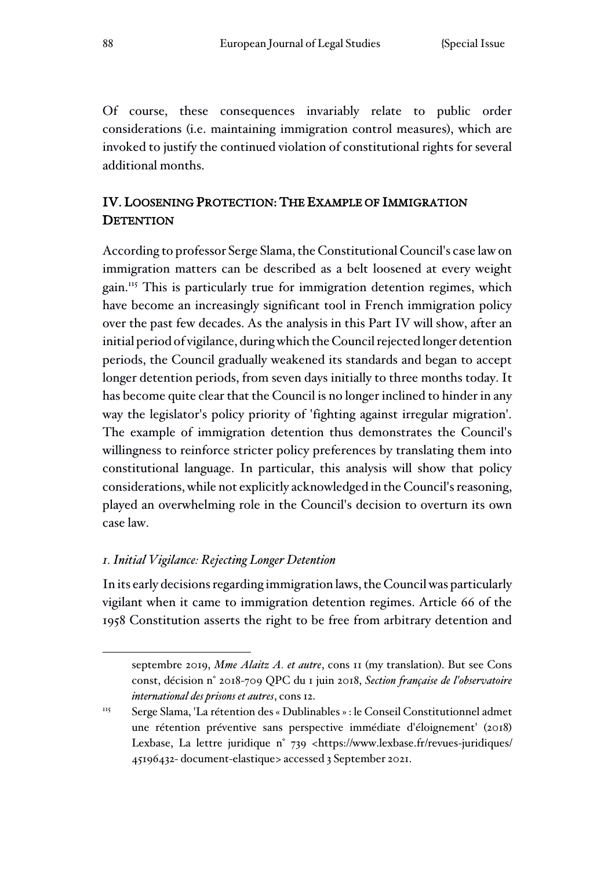Of course, these consequences invariably relate to public order considerations (i.e. maintaining immigration control measures), which are invoked to justify the continued violation of constitutional rights for several additional months.

# IV. LOOSENING PROTECTION: THE EXAMPLE OF IMMIGRATION **DETENTION**

According to professor Serge Slama, the Constitutional Council's case law on immigration matters can be described as a belt loosened at every weight gain.<sup>115</sup> This is particularly true for immigration detention regimes, which have become an increasingly significant tool in French immigration policy over the past few decades. As the analysis in this Part IV will show, after an initial period of vigilance, during which the Council rejected longer detention periods, the Council gradually weakened its standards and began to accept longer detention periods, from seven days initially to three months today. It has become quite clear that the Council is no longer inclined to hinder in any way the legislator's policy priority of 'fighting against irregular migration'. The example of immigration detention thus demonstrates the Council's willingness to reinforce stricter policy preferences by translating them into constitutional language. In particular, this analysis will show that policy considerations, while not explicitly acknowledged in the Council's reasoning, played an overwhelming role in the Council's decision to overturn its own case law.

# *1. Initial Vigilance: Rejecting Longer Detention*

In its early decisions regarding immigration laws, the Council was particularly vigilant when it came to immigration detention regimes. Article 66 of the 1958 Constitution asserts the right to be free from arbitrary detention and

septembre 2019, *Mme Alaitz A. et autre*, cons 11 (my translation). But see Cons const, décision n° 2018-709 QPC du 1 juin 2018, *Section française de l'observatoire international des prisons et autres*, cons 12.

<sup>115</sup> Serge Slama, 'La rétention des « Dublinables » : le Conseil Constitutionnel admet une rétention préventive sans perspective immédiate d'éloignement' (2018) Lexbase, La lettre juridique n° 739 <https://www.lexbase.fr/revues-juridiques/ 45196432- document-elastique> accessed 3 September 2021.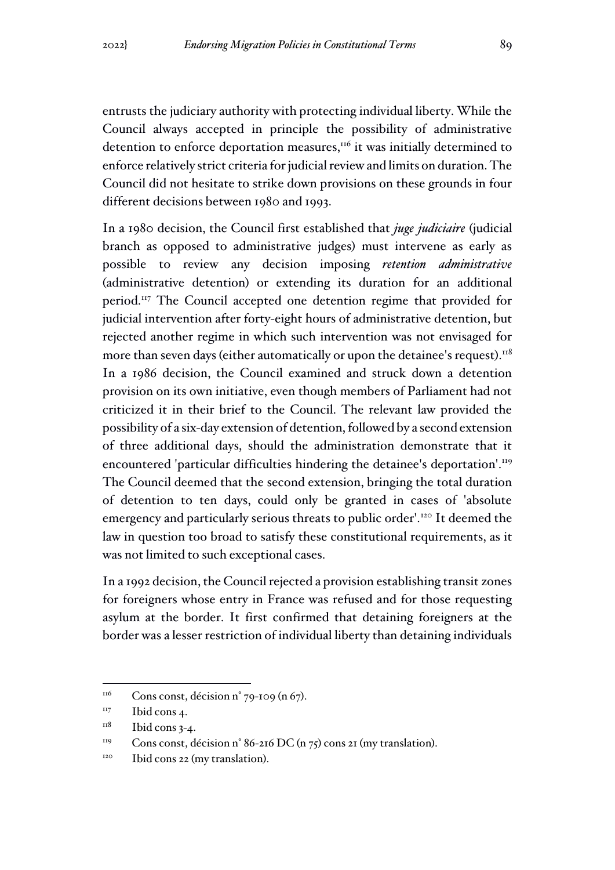entrusts the judiciary authority with protecting individual liberty. While the Council always accepted in principle the possibility of administrative detention to enforce deportation measures,<sup>116</sup> it was initially determined to enforce relatively strict criteria for judicial review and limits on duration. The Council did not hesitate to strike down provisions on these grounds in four different decisions between 1980 and 1993.

In a 1980 decision, the Council first established that *juge judiciaire* (judicial branch as opposed to administrative judges) must intervene as early as possible to review any decision imposing *retention administrative*  (administrative detention) or extending its duration for an additional period.<sup>117</sup> The Council accepted one detention regime that provided for judicial intervention after forty-eight hours of administrative detention, but rejected another regime in which such intervention was not envisaged for more than seven days (either automatically or upon the detainee's request).<sup>118</sup> In a 1986 decision, the Council examined and struck down a detention provision on its own initiative, even though members of Parliament had not criticized it in their brief to the Council. The relevant law provided the possibility of a six-day extension of detention, followed by a second extension of three additional days, should the administration demonstrate that it encountered 'particular difficulties hindering the detainee's deportation'.<sup>119</sup> The Council deemed that the second extension, bringing the total duration of detention to ten days, could only be granted in cases of 'absolute emergency and particularly serious threats to public order'.<sup>120</sup> It deemed the law in question too broad to satisfy these constitutional requirements, as it was not limited to such exceptional cases.

In a 1992 decision, the Council rejected a provision establishing transit zones for foreigners whose entry in France was refused and for those requesting asylum at the border. It first confirmed that detaining foreigners at the border was a lesser restriction of individual liberty than detaining individuals

<sup>119</sup> Cons const, décision n° 86-216 DC (n 75) cons 21 (my translation).

 $116$  Cons const, décision n° 79-109 (n 67).

<sup>&</sup>lt;sup>117</sup> Ibid cons 4.

 $118$  Ibid cons 3-4.

 $120$  Ibid cons 22 (my translation).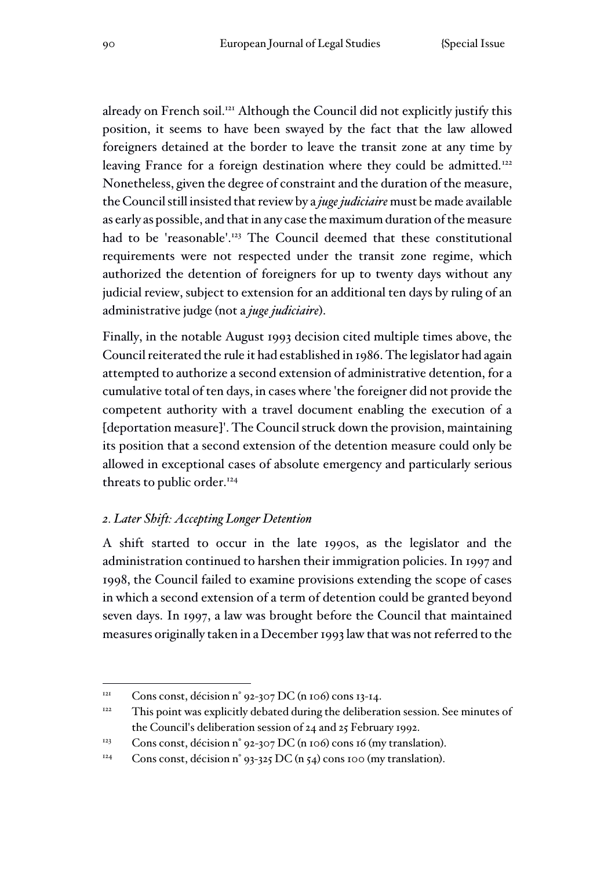already on French soil.<sup>121</sup> Although the Council did not explicitly justify this position, it seems to have been swayed by the fact that the law allowed foreigners detained at the border to leave the transit zone at any time by leaving France for a foreign destination where they could be admitted.<sup>122</sup> Nonetheless, given the degree of constraint and the duration of the measure, the Council still insisted that review by a *juge judiciaire* must be made available as early as possible, and that in any case the maximum duration of the measure had to be 'reasonable'.<sup>123</sup> The Council deemed that these constitutional requirements were not respected under the transit zone regime, which authorized the detention of foreigners for up to twenty days without any judicial review, subject to extension for an additional ten days by ruling of an administrative judge (not a *juge judiciaire*).

Finally, in the notable August 1993 decision cited multiple times above, the Council reiterated the rule it had established in 1986. The legislator had again attempted to authorize a second extension of administrative detention, for a cumulative total of ten days, in cases where 'the foreigner did not provide the competent authority with a travel document enabling the execution of a [deportation measure]'. The Council struck down the provision, maintaining its position that a second extension of the detention measure could only be allowed in exceptional cases of absolute emergency and particularly serious threats to public order.<sup>124</sup>

# *2. Later Shift: Accepting Longer Detention*

A shift started to occur in the late 1990s, as the legislator and the administration continued to harshen their immigration policies. In 1997 and 1998, the Council failed to examine provisions extending the scope of cases in which a second extension of a term of detention could be granted beyond seven days. In 1997, a law was brought before the Council that maintained measures originally taken in a December 1993 law that was not referred to the

<sup>&</sup>lt;sup>121</sup> Cons const, décision n° 92-307 DC (n 106) cons 13-14.

 $122$  This point was explicitly debated during the deliberation session. See minutes of the Council's deliberation session of 24 and 25 February 1992.

<sup>&</sup>lt;sup>123</sup> Cons const, décision n° 92-307 DC (n 106) cons 16 (my translation).

<sup>&</sup>lt;sup>124</sup> Cons const, décision n° 93-325 DC (n 54) cons 100 (my translation).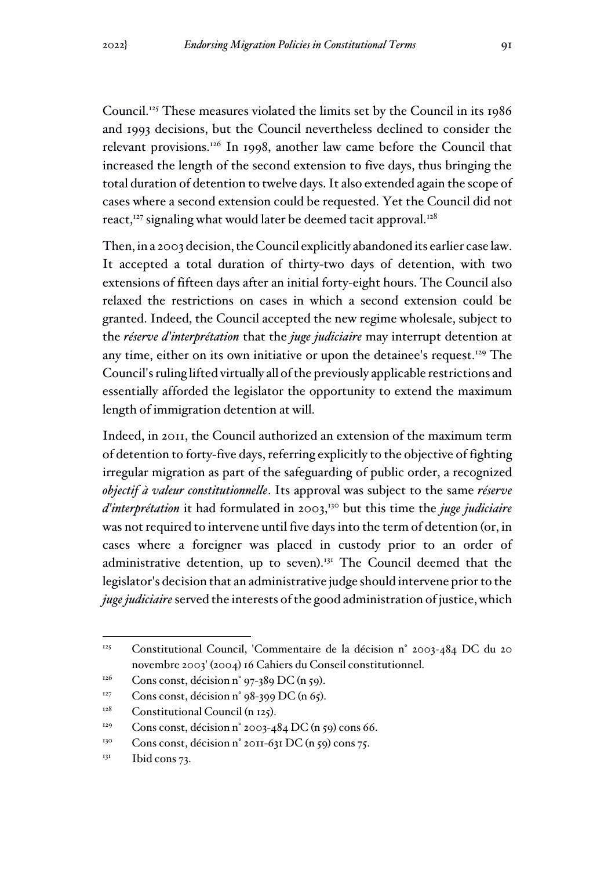Council.<sup>125</sup> These measures violated the limits set by the Council in its 1986 and 1993 decisions, but the Council nevertheless declined to consider the relevant provisions.<sup>126</sup> In 1998, another law came before the Council that increased the length of the second extension to five days, thus bringing the total duration of detention to twelve days. It also extended again the scope of cases where a second extension could be requested. Yet the Council did not react, $127$  signaling what would later be deemed tacit approval.<sup>128</sup>

Then, in a 2003 decision, the Council explicitly abandoned its earlier case law. It accepted a total duration of thirty-two days of detention, with two extensions of fifteen days after an initial forty-eight hours. The Council also relaxed the restrictions on cases in which a second extension could be granted. Indeed, the Council accepted the new regime wholesale, subject to the *réserve d'interprétation* that the *juge judiciaire* may interrupt detention at any time, either on its own initiative or upon the detainee's request.<sup>129</sup> The Council's ruling lifted virtually all of the previously applicable restrictions and essentially afforded the legislator the opportunity to extend the maximum length of immigration detention at will.

Indeed, in 2011, the Council authorized an extension of the maximum term of detention to forty-five days, referring explicitly to the objective of fighting irregular migration as part of the safeguarding of public order, a recognized *objectif à valeur constitutionnelle*. Its approval was subject to the same *réserve d'interprétation* it had formulated in 2003,<sup>130</sup> but this time the *juge judiciaire* was not required to intervene until five days into the term of detention (or, in cases where a foreigner was placed in custody prior to an order of administrative detention, up to seven).<sup>131</sup> The Council deemed that the legislator's decision that an administrative judge should intervene prior to the *juge judiciaire* served the interests of the good administration of justice, which

<sup>125</sup> Constitutional Council, 'Commentaire de la décision n° 2003-484 DC du 20 novembre 2003' (2004) 16 Cahiers du Conseil constitutionnel.

<sup>&</sup>lt;sup>126</sup> Cons const, décision n° 97-389 DC (n 59).

<sup>&</sup>lt;sup>127</sup> Cons const, décision n° 98-399 DC (n 65).

 $128$  Constitutional Council (n 125).

<sup>&</sup>lt;sup>129</sup> Cons const, décision n° 2003-484 DC (n 59) cons 66.

<sup>&</sup>lt;sup>130</sup> Cons const, décision n° 2011-631 DC (n 59) cons 75.

 $131$  Ibid cons 73.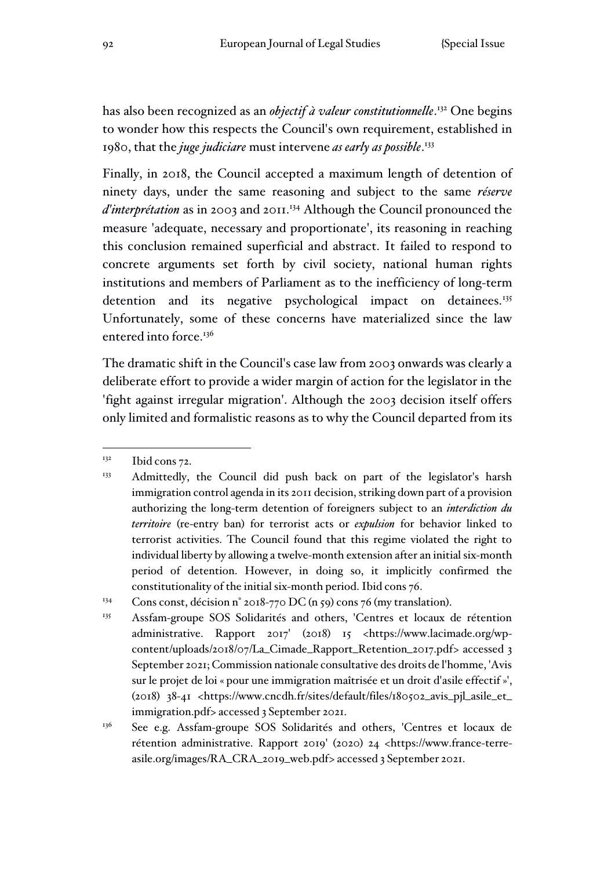has also been recognized as an *objectif à valeur constitutionnelle*. <sup>132</sup> One begins to wonder how this respects the Council's own requirement, established in 1980, that the *juge judiciare* must intervene *as early as possible*. 133

Finally, in 2018, the Council accepted a maximum length of detention of ninety days, under the same reasoning and subject to the same *réserve d'interprétation* as in 2003 and 2011.<sup>134</sup> Although the Council pronounced the measure 'adequate, necessary and proportionate', its reasoning in reaching this conclusion remained superficial and abstract. It failed to respond to concrete arguments set forth by civil society, national human rights institutions and members of Parliament as to the inefficiency of long-term detention and its negative psychological impact on detainees.<sup>135</sup> Unfortunately, some of these concerns have materialized since the law entered into force.<sup>136</sup>

The dramatic shift in the Council's case law from 2003 onwards was clearly a deliberate effort to provide a wider margin of action for the legislator in the 'fight against irregular migration'. Although the 2003 decision itself offers only limited and formalistic reasons as to why the Council departed from its

 $132$  Ibid cons 72.

<sup>&</sup>lt;sup>133</sup> Admittedly, the Council did push back on part of the legislator's harsh immigration control agenda in its 2011 decision, striking down part of a provision authorizing the long-term detention of foreigners subject to an *interdiction du territoire* (re-entry ban) for terrorist acts or *expulsion* for behavior linked to terrorist activities. The Council found that this regime violated the right to individual liberty by allowing a twelve-month extension after an initial six-month period of detention. However, in doing so, it implicitly confirmed the constitutionality of the initial six-month period. Ibid cons 76.

<sup>&</sup>lt;sup>134</sup> Cons const, décision n° 2018-770 DC (n 59) cons 76 (my translation).

<sup>&</sup>lt;sup>135</sup> Assfam-groupe SOS Solidarités and others, 'Centres et locaux de rétention administrative. Rapport 2017' (2018) 15 <https://www.lacimade.org/wpcontent/uploads/2018/07/La\_Cimade\_Rapport\_Retention\_2017.pdf> accessed 3 September 2021; Commission nationale consultative des droits de l'homme, 'Avis sur le projet de loi « pour une immigration maîtrisée et un droit d'asile effectif »', (2018) 38-41 <https://www.cncdh.fr/sites/default/files/180502\_avis\_pjl\_asile\_et\_ immigration.pdf> accessed 3 September 2021.

<sup>&</sup>lt;sup>136</sup> See e.g. Assfam-groupe SOS Solidarités and others, 'Centres et locaux de rétention administrative. Rapport 2019' (2020) 24 <https://www.france-terreasile.org/images/RA\_CRA\_2019\_web.pdf> accessed 3 September 2021.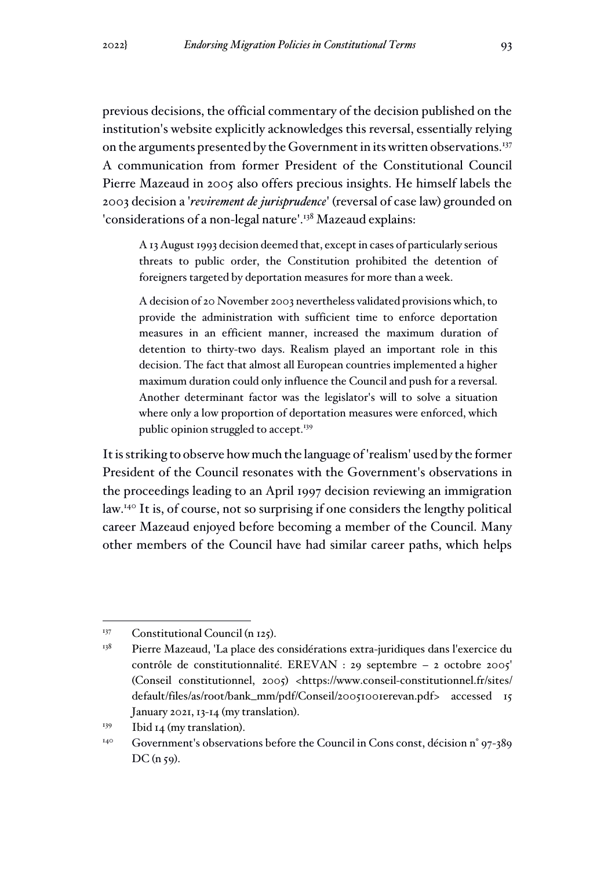previous decisions, the official commentary of the decision published on the institution's website explicitly acknowledges this reversal, essentially relying on the arguments presented by the Government in its written observations.<sup>137</sup> A communication from former President of the Constitutional Council Pierre Mazeaud in 2005 also offers precious insights. He himself labels the 2003 decision a '*revirement de jurisprudence*' (reversal of case law) grounded on 'considerations of a non-legal nature'.<sup>138</sup> Mazeaud explains:

A 13 August 1993 decision deemed that, except in cases of particularly serious threats to public order, the Constitution prohibited the detention of foreigners targeted by deportation measures for more than a week.

A decision of 20 November 2003 nevertheless validated provisions which, to provide the administration with sufficient time to enforce deportation measures in an efficient manner, increased the maximum duration of detention to thirty-two days. Realism played an important role in this decision. The fact that almost all European countries implemented a higher maximum duration could only influence the Council and push for a reversal. Another determinant factor was the legislator's will to solve a situation where only a low proportion of deportation measures were enforced, which public opinion struggled to accept.<sup>139</sup>

It is striking to observe how much the language of 'realism' used by the former President of the Council resonates with the Government's observations in the proceedings leading to an April 1997 decision reviewing an immigration law.<sup>140</sup> It is, of course, not so surprising if one considers the lengthy political career Mazeaud enjoyed before becoming a member of the Council. Many other members of the Council have had similar career paths, which helps

<sup>&</sup>lt;sup>137</sup> Constitutional Council (n 125).

 $138$  Pierre Mazeaud, 'La place des considérations extra-juridiques dans l'exercice du contrôle de constitutionnalité. EREVAN : 29 septembre – 2 octobre 2005' (Conseil constitutionnel, 2005) <https://www.conseil-constitutionnel.fr/sites/ default/files/as/root/bank\_mm/pdf/Conseil/20051001erevan.pdf> accessed 15 January 2021, 13-14 (my translation).

<sup>&</sup>lt;sup>139</sup> Ibid 14 (my translation).

 $140$  Government's observations before the Council in Cons const, décision n° 97-389  $DC(n 59)$ .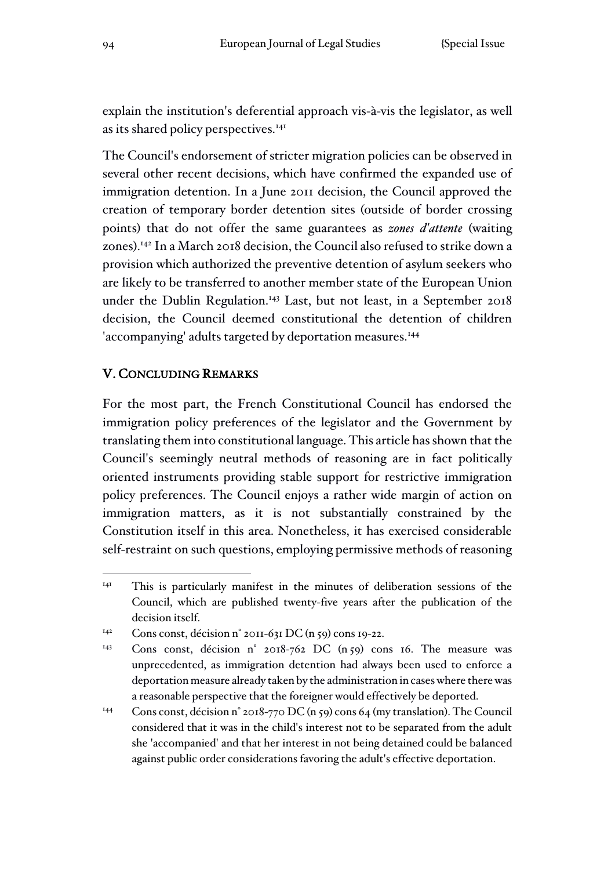explain the institution's deferential approach vis-à-vis the legislator, as well as its shared policy perspectives.<sup>141</sup>

The Council's endorsement of stricter migration policies can be observed in several other recent decisions, which have confirmed the expanded use of immigration detention. In a June 2011 decision, the Council approved the creation of temporary border detention sites (outside of border crossing points) that do not offer the same guarantees as *zones d'attente* (waiting zones).<sup>142</sup> In a March 2018 decision, the Council also refused to strike down a provision which authorized the preventive detention of asylum seekers who are likely to be transferred to another member state of the European Union under the Dublin Regulation.<sup>143</sup> Last, but not least, in a September 2018 decision, the Council deemed constitutional the detention of children 'accompanying' adults targeted by deportation measures.<sup>144</sup>

# V. CONCLUDING REMARKS

For the most part, the French Constitutional Council has endorsed the immigration policy preferences of the legislator and the Government by translating them into constitutional language. This article has shown that the Council's seemingly neutral methods of reasoning are in fact politically oriented instruments providing stable support for restrictive immigration policy preferences. The Council enjoys a rather wide margin of action on immigration matters, as it is not substantially constrained by the Constitution itself in this area. Nonetheless, it has exercised considerable self-restraint on such questions, employing permissive methods of reasoning

<sup>&</sup>lt;sup>141</sup> This is particularly manifest in the minutes of deliberation sessions of the Council, which are published twenty-five years after the publication of the decision itself.

<sup>&</sup>lt;sup>142</sup> Cons const, décision n° 2011-631 DC (n 59) cons 19-22.

<sup>143</sup> Cons const, décision n° 2018-762 DC (n 59) cons 16. The measure was unprecedented, as immigration detention had always been used to enforce a deportation measure already taken by the administration in cases where there was a reasonable perspective that the foreigner would effectively be deported.

<sup>144</sup> Cons const, décision n° 2018-770 DC (n 59) cons 64 (my translation). The Council considered that it was in the child's interest not to be separated from the adult she 'accompanied' and that her interest in not being detained could be balanced against public order considerations favoring the adult's effective deportation.